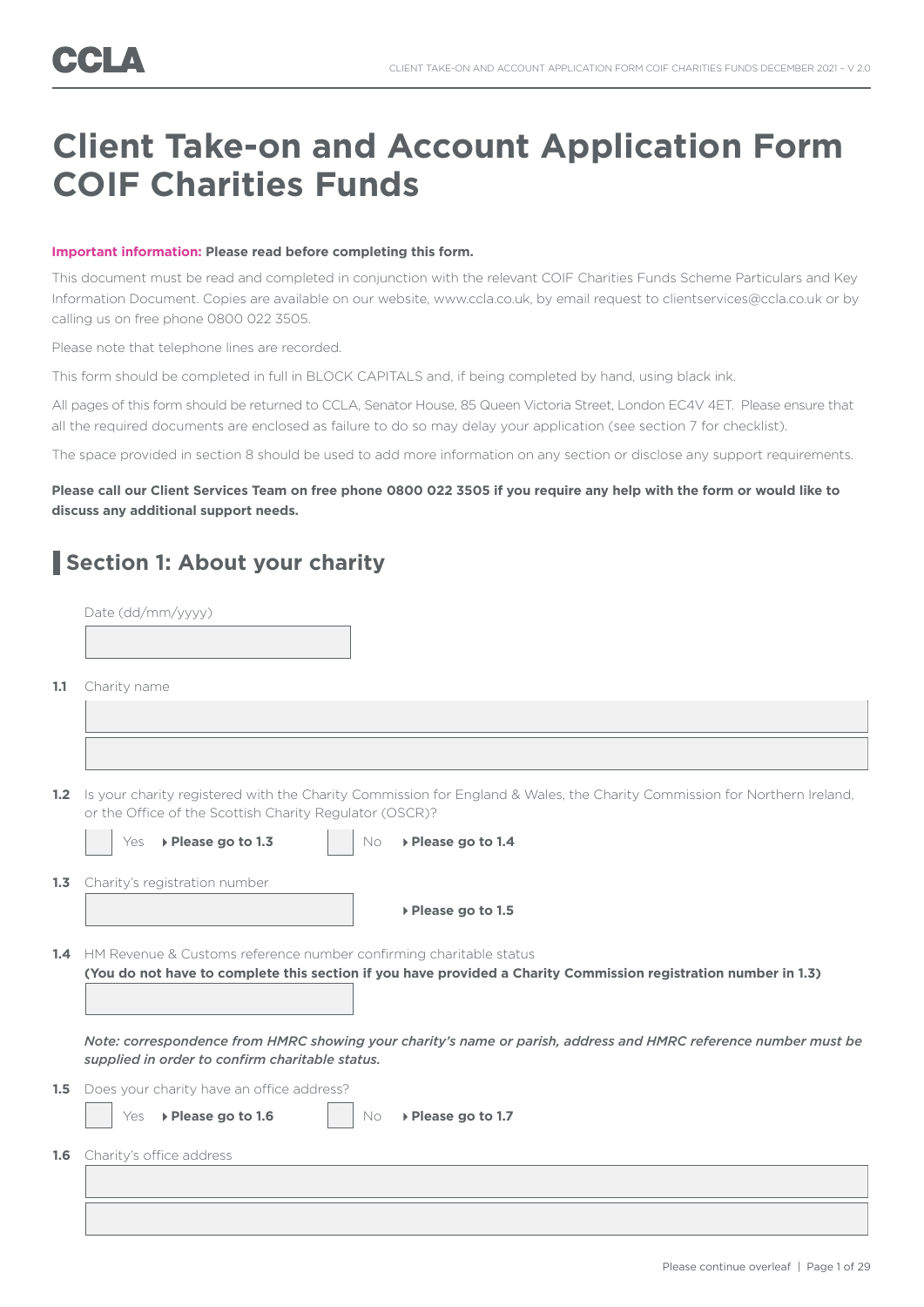## **Client Take-on and Account Application Form COIF Charities Funds**

#### **Important information: Please read before completing this form.**

This document must be read and completed in conjunction with the relevant COIF Charities Funds Scheme Particulars and Key Information Document. Copies are available on our website, www.ccla.co.uk, by email request to clientservices@ccla.co.uk or by calling us on free phone 0800 022 3505.

Please note that telephone lines are recorded.

This form should be completed in full in BLOCK CAPITALS and, if being completed by hand, using black ink.

All pages of this form should be returned to CCLA, Senator House, 85 Queen Victoria Street, London EC4V 4ET. Please ensure that all the required documents are enclosed as failure to do so may delay your application (see section 7 for checklist).

The space provided in section 8 should be used to add more information on any section or disclose any support requirements.

#### **Please call our Client Services Team on free phone 0800 022 3505 if you require any help with the form or would like to discuss any additional support needs.**

## **Section 1: About your charity**

|      | Date (dd/mm/yyyy)                                                                                                                                                                         |
|------|-------------------------------------------------------------------------------------------------------------------------------------------------------------------------------------------|
|      |                                                                                                                                                                                           |
|      |                                                                                                                                                                                           |
| 1.1  | Charity name                                                                                                                                                                              |
|      |                                                                                                                                                                                           |
|      |                                                                                                                                                                                           |
|      | 1.2 Is your charity registered with the Charity Commission for England & Wales, the Charity Commission for Northern Ireland,<br>or the Office of the Scottish Charity Regulator (OSCR)?   |
|      | ▶ Please go to 1.3<br>▶ Please go to 1.4<br>Yes<br>No                                                                                                                                     |
| 1, 3 | Charity's registration number                                                                                                                                                             |
|      | ▶ Please go to 1.5                                                                                                                                                                        |
|      |                                                                                                                                                                                           |
|      | 1.4 HM Revenue & Customs reference number confirming charitable status<br>(You do not have to complete this section if you have provided a Charity Commission registration number in 1.3) |
|      |                                                                                                                                                                                           |
|      |                                                                                                                                                                                           |
|      | Note: correspondence from HMRC showing your charity's name or parish, address and HMRC reference number must be<br>supplied in order to confirm charitable status.                        |
|      | <b>1.5</b> Does your charity have an office address?                                                                                                                                      |
|      | ▶ Please go to 1.6<br>▶ Please go to 1.7<br>Yes<br><b>No</b>                                                                                                                              |
|      | <b>1.6</b> Charity's office address                                                                                                                                                       |
|      |                                                                                                                                                                                           |
|      |                                                                                                                                                                                           |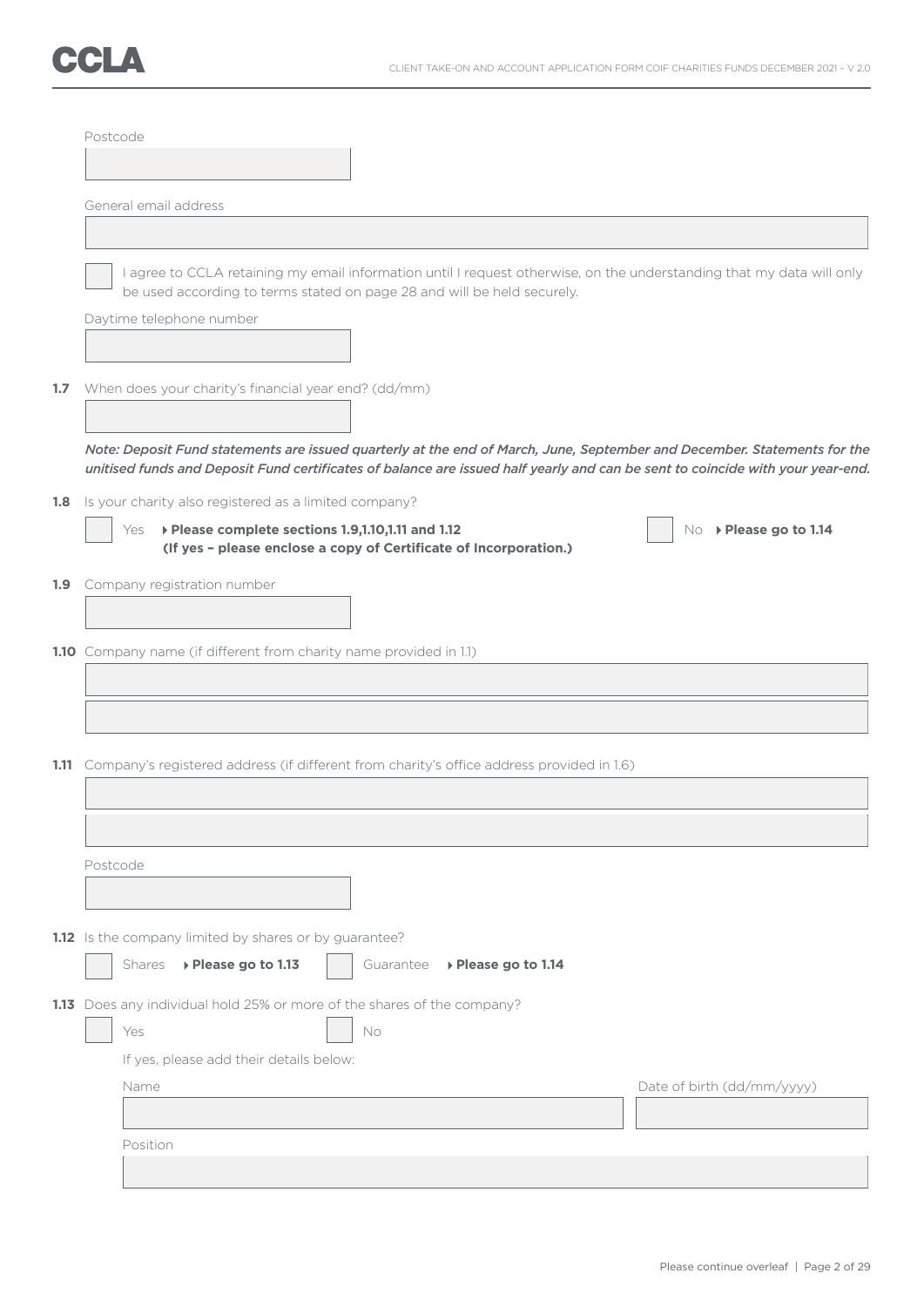

|     | Postcode |                                                                                                                                                                                                                                                            |                            |
|-----|----------|------------------------------------------------------------------------------------------------------------------------------------------------------------------------------------------------------------------------------------------------------------|----------------------------|
|     |          |                                                                                                                                                                                                                                                            |                            |
|     |          | General email address                                                                                                                                                                                                                                      |                            |
|     |          |                                                                                                                                                                                                                                                            |                            |
|     |          | I agree to CCLA retaining my email information until I request otherwise, on the understanding that my data will only<br>be used according to terms stated on page 28 and will be held securely.                                                           |                            |
|     |          | Daytime telephone number                                                                                                                                                                                                                                   |                            |
| 1.7 |          | When does your charity's financial year end? (dd/mm)                                                                                                                                                                                                       |                            |
|     |          | Note: Deposit Fund statements are issued quarterly at the end of March, June, September and December. Statements for the<br>unitised funds and Deposit Fund certificates of balance are issued half yearly and can be sent to coincide with your year-end. |                            |
| 1.8 |          | Is your charity also registered as a limited company?                                                                                                                                                                                                      |                            |
|     |          | ▶ Please complete sections 1.9,1.10,1.11 and 1.12<br>Yes<br>(If yes - please enclose a copy of Certificate of Incorporation.)                                                                                                                              | No ▶ Please go to 1.14     |
| 1.9 |          | Company registration number                                                                                                                                                                                                                                |                            |
|     |          | 1.10 Company name (if different from charity name provided in 1.1)                                                                                                                                                                                         |                            |
|     |          |                                                                                                                                                                                                                                                            |                            |
|     |          | 1.11 Company's registered address (if different from charity's office address provided in 1.6)                                                                                                                                                             |                            |
|     |          |                                                                                                                                                                                                                                                            |                            |
|     | Postcode |                                                                                                                                                                                                                                                            |                            |
|     |          |                                                                                                                                                                                                                                                            |                            |
|     |          | 1.12 Is the company limited by shares or by guarantee?                                                                                                                                                                                                     |                            |
|     |          | ▶ Please go to 1.13<br>Shares<br>Guarantee<br>▶ Please go to 1.14                                                                                                                                                                                          |                            |
|     |          | 1.13 Does any individual hold 25% or more of the shares of the company?                                                                                                                                                                                    |                            |
|     |          | Yes<br>No                                                                                                                                                                                                                                                  |                            |
|     |          | If yes, please add their details below:                                                                                                                                                                                                                    |                            |
|     |          | Name                                                                                                                                                                                                                                                       | Date of birth (dd/mm/yyyy) |
|     |          |                                                                                                                                                                                                                                                            |                            |
|     |          | Position                                                                                                                                                                                                                                                   |                            |
|     |          |                                                                                                                                                                                                                                                            |                            |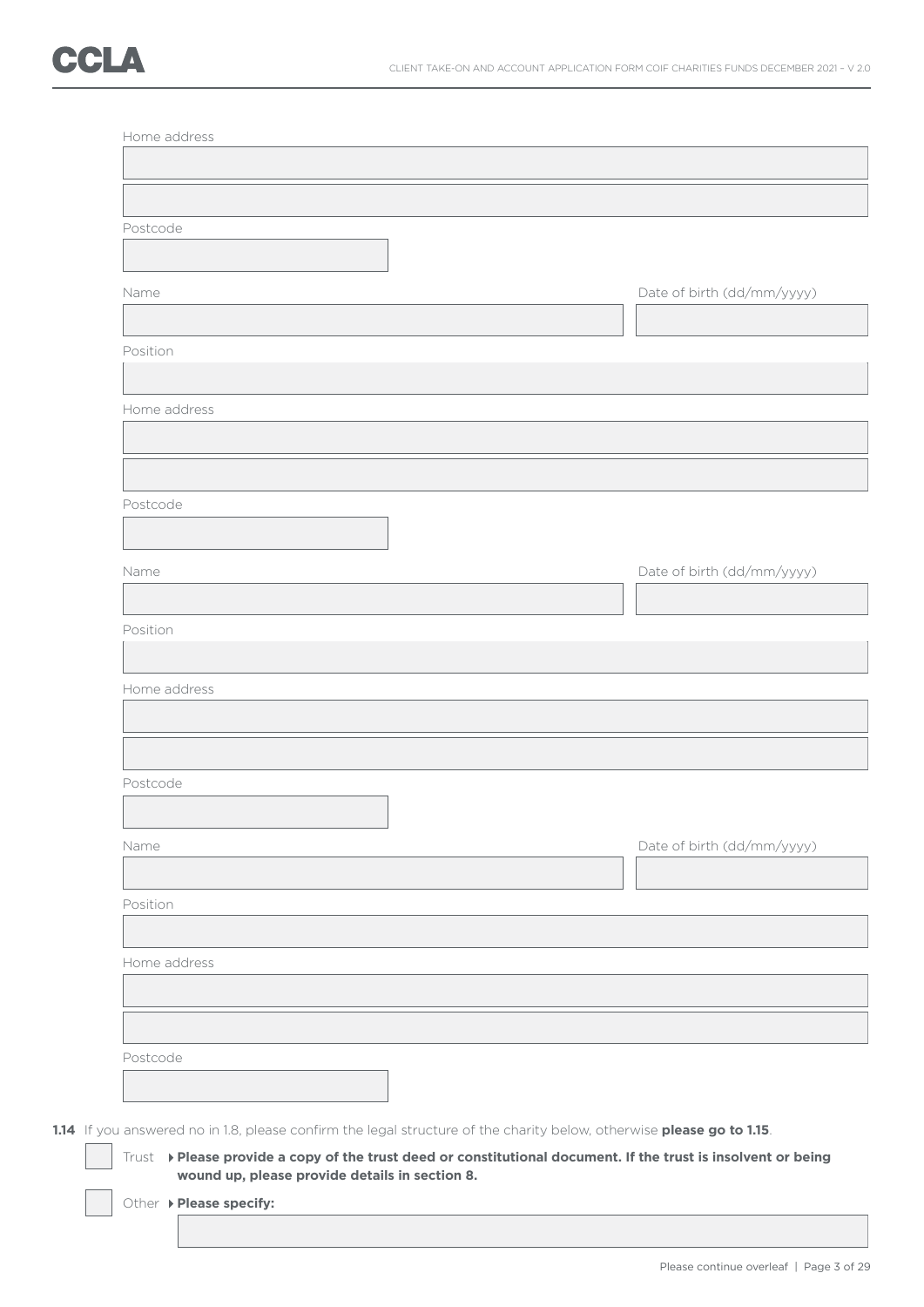| Postcode                                                                                                                                                         |                            |
|------------------------------------------------------------------------------------------------------------------------------------------------------------------|----------------------------|
|                                                                                                                                                                  |                            |
| Name                                                                                                                                                             | Date of birth (dd/mm/yyyy) |
|                                                                                                                                                                  |                            |
| Position                                                                                                                                                         |                            |
|                                                                                                                                                                  |                            |
| Home address                                                                                                                                                     |                            |
|                                                                                                                                                                  |                            |
|                                                                                                                                                                  |                            |
| Postcode                                                                                                                                                         |                            |
|                                                                                                                                                                  |                            |
|                                                                                                                                                                  |                            |
| Name                                                                                                                                                             | Date of birth (dd/mm/yyyy) |
|                                                                                                                                                                  |                            |
| Position                                                                                                                                                         |                            |
|                                                                                                                                                                  |                            |
| Home address                                                                                                                                                     |                            |
|                                                                                                                                                                  |                            |
|                                                                                                                                                                  |                            |
| Postcode                                                                                                                                                         |                            |
|                                                                                                                                                                  |                            |
| Name                                                                                                                                                             | Date of birth (dd/mm/yyyy) |
|                                                                                                                                                                  |                            |
| Position                                                                                                                                                         |                            |
|                                                                                                                                                                  |                            |
| Home address                                                                                                                                                     |                            |
|                                                                                                                                                                  |                            |
|                                                                                                                                                                  |                            |
| Postcode                                                                                                                                                         |                            |
|                                                                                                                                                                  |                            |
| 1.14 If you answered no in 1.8, please confirm the legal structure of the charity below, otherwise please go to 1.15.                                            |                            |
| Trust > Please provide a copy of the trust deed or constitutional document. If the trust is insolvent or being<br>wound up, please provide details in section 8. |                            |
| Other > Please specify:                                                                                                                                          |                            |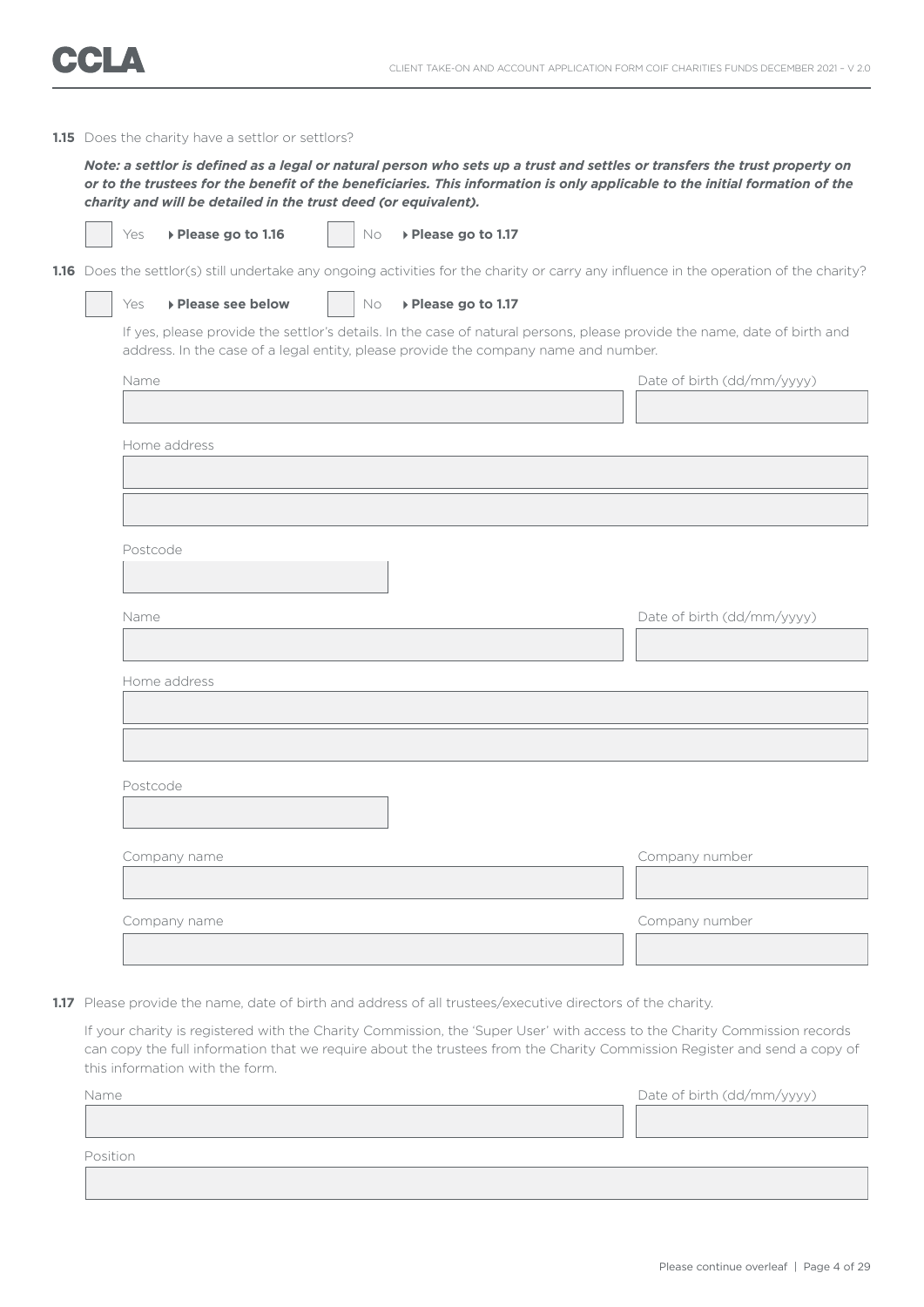

#### **1.15** Does the charity have a settlor or settlors?

 *Note: a settlor is defined as a legal or natural person who sets up a trust and settles or transfers the trust property on or to the trustees for the benefit of the beneficiaries. This information is only applicable to the initial formation of the charity and will be detailed in the trust deed (or equivalent).*

| ٧<br>M. |
|---------|
|---------|

**▶ Please go to 1.16** No ▶ Please go to 1.17

1.16 Does the settlor(s) still undertake any ongoing activities for the charity or carry any influence in the operation of the charity?

#### Yes **Please see below**  $\vert$  No **Please go to 1.17**

 If yes, please provide the settlor's details. In the case of natural persons, please provide the name, date of birth and address. In the case of a legal entity, please provide the company name and number.

| Name         | Date of birth (dd/mm/yyyy) |
|--------------|----------------------------|
|              |                            |
| Home address |                            |
|              |                            |
|              |                            |
|              |                            |
| Postcode     |                            |
|              |                            |
| Name         | Date of birth (dd/mm/yyyy) |
|              |                            |
| Home address |                            |
|              |                            |
|              |                            |
|              |                            |
| Postcode     |                            |
|              |                            |
|              |                            |
| Company name | Company number             |
|              |                            |
| Company name | Company number             |
|              |                            |

**1.17** Please provide the name, date of birth and address of all trustees/executive directors of the charity.

 If your charity is registered with the Charity Commission, the 'Super User' with access to the Charity Commission records can copy the full information that we require about the trustees from the Charity Commission Register and send a copy of this information with the form.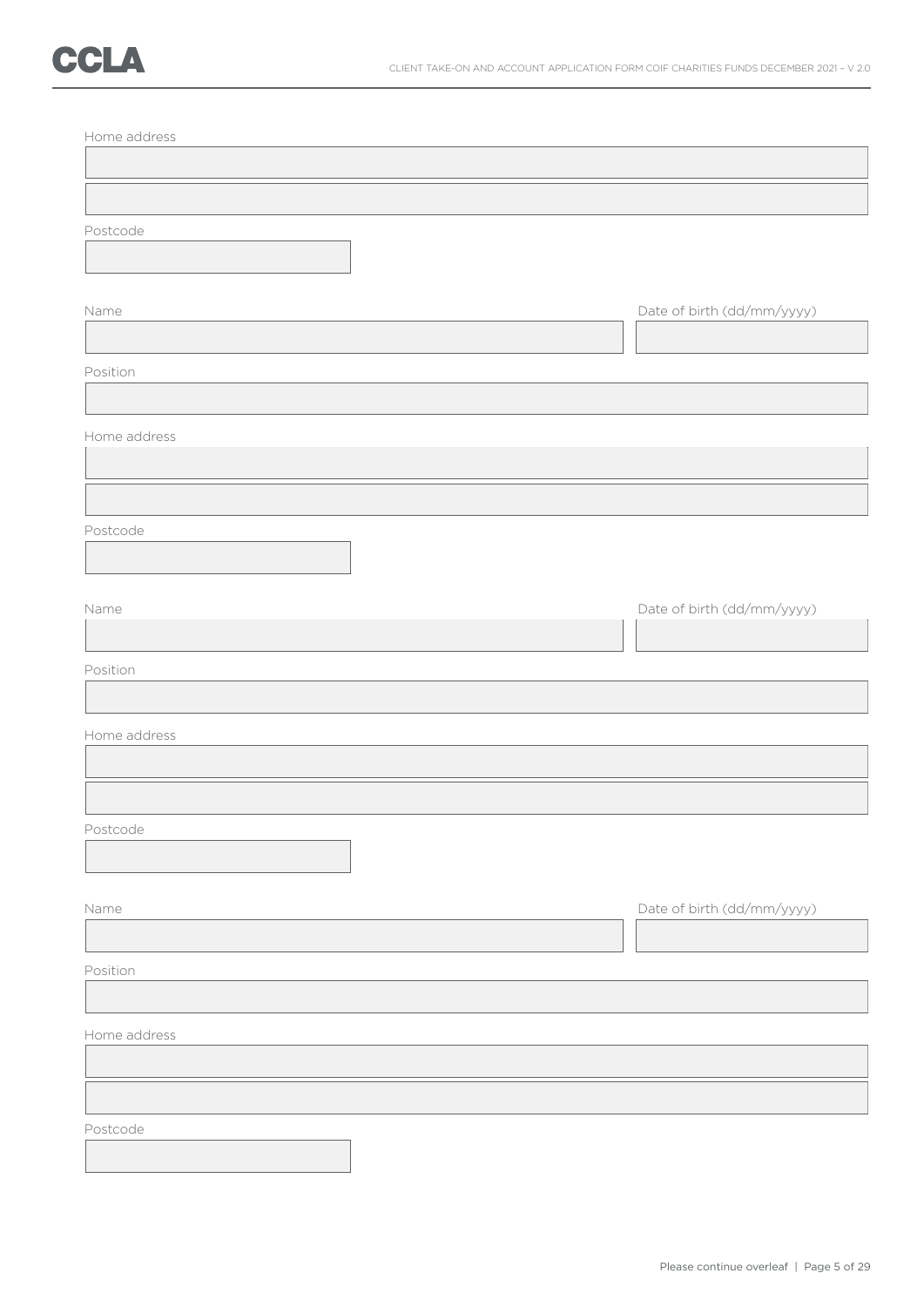| Home address |                            |
|--------------|----------------------------|
|              |                            |
|              |                            |
| Postcode     |                            |
|              |                            |
| Name         | Date of birth (dd/mm/yyyy) |
|              |                            |
| Position     |                            |
|              |                            |
| Home address |                            |
|              |                            |
|              |                            |
| Postcode     |                            |
|              |                            |
|              |                            |
| Name         | Date of birth (dd/mm/yyyy) |
|              |                            |
| Position     |                            |
|              |                            |
| Home address |                            |
|              |                            |
|              |                            |
| Postcode     |                            |
|              |                            |
| Name         | Date of birth (dd/mm/yyyy) |
|              |                            |
| Position     |                            |
|              |                            |
| Home address |                            |
|              |                            |
|              |                            |
| Postcode     |                            |
|              |                            |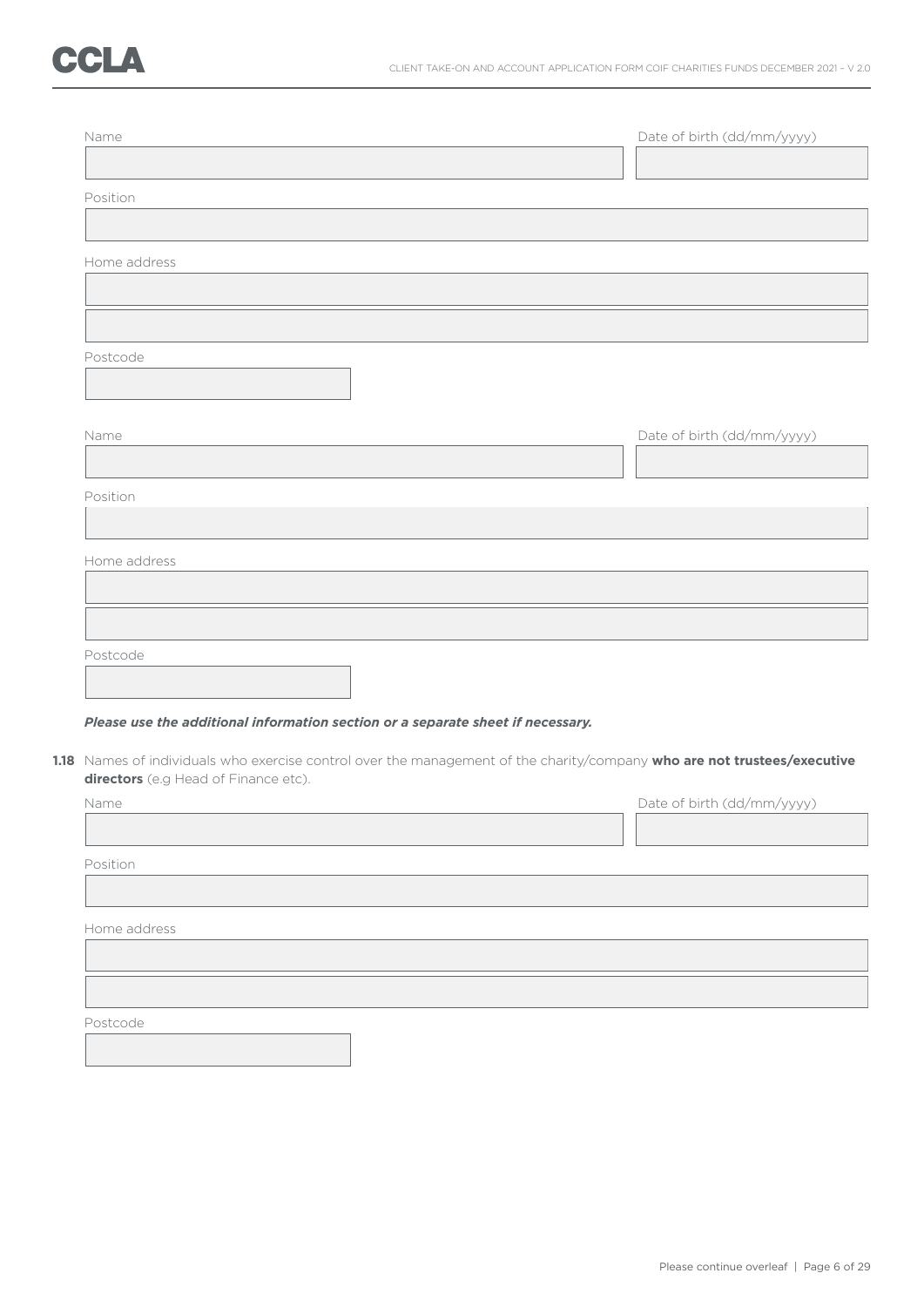| Name         |                                                                                                                          |  | Date of birth (dd/mm/yyyy) |
|--------------|--------------------------------------------------------------------------------------------------------------------------|--|----------------------------|
|              |                                                                                                                          |  |                            |
| Position     |                                                                                                                          |  |                            |
|              |                                                                                                                          |  |                            |
| Home address |                                                                                                                          |  |                            |
|              |                                                                                                                          |  |                            |
|              |                                                                                                                          |  |                            |
| Postcode     |                                                                                                                          |  |                            |
|              |                                                                                                                          |  |                            |
|              |                                                                                                                          |  |                            |
| Name         |                                                                                                                          |  | Date of birth (dd/mm/yyyy) |
|              |                                                                                                                          |  |                            |
| Position     |                                                                                                                          |  |                            |
|              |                                                                                                                          |  |                            |
| Home address |                                                                                                                          |  |                            |
|              |                                                                                                                          |  |                            |
|              |                                                                                                                          |  |                            |
| Postcode     |                                                                                                                          |  |                            |
|              |                                                                                                                          |  |                            |
|              | Please use the additional information section or a separate sheet if necessary.                                          |  |                            |
|              | 1.18 Names of individuals who exercise control over the management of the charity/company who are not trustees/executive |  |                            |
|              | directors (e.g Head of Finance etc).                                                                                     |  |                            |
| Name         |                                                                                                                          |  | Date of birth (dd/mm/yyyy) |
|              |                                                                                                                          |  |                            |
| Position     |                                                                                                                          |  |                            |

Home address

Postcode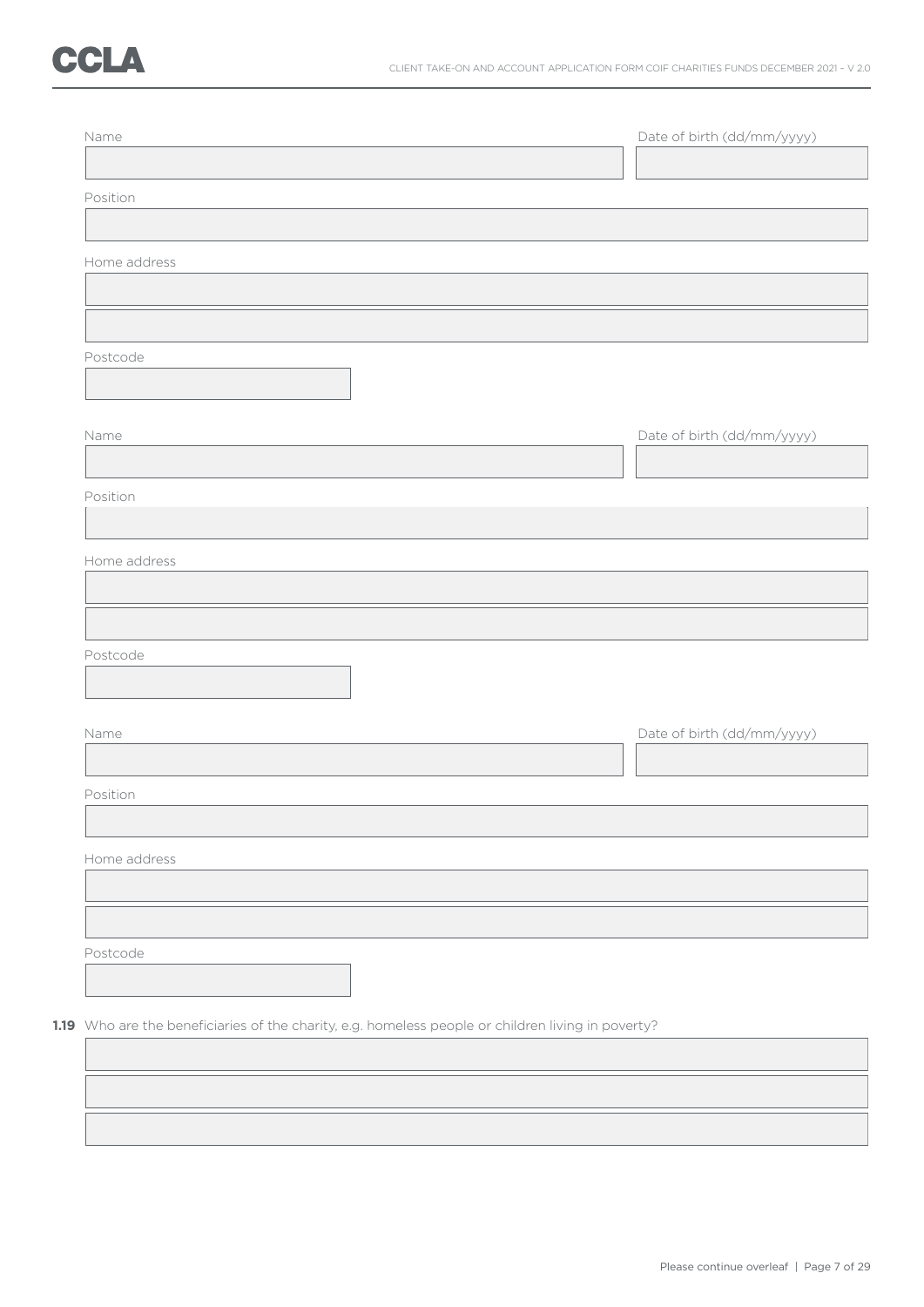| Name                                                                                               |  | Date of birth (dd/mm/yyyy) |
|----------------------------------------------------------------------------------------------------|--|----------------------------|
|                                                                                                    |  |                            |
| Position                                                                                           |  |                            |
|                                                                                                    |  |                            |
| Home address                                                                                       |  |                            |
|                                                                                                    |  |                            |
|                                                                                                    |  |                            |
| Postcode                                                                                           |  |                            |
|                                                                                                    |  |                            |
| Name                                                                                               |  | Date of birth (dd/mm/yyyy) |
|                                                                                                    |  |                            |
| Position                                                                                           |  |                            |
|                                                                                                    |  |                            |
|                                                                                                    |  |                            |
| Home address                                                                                       |  |                            |
|                                                                                                    |  |                            |
|                                                                                                    |  |                            |
| Postcode                                                                                           |  |                            |
|                                                                                                    |  |                            |
| Name                                                                                               |  | Date of birth (dd/mm/yyyy) |
|                                                                                                    |  |                            |
| Position                                                                                           |  |                            |
|                                                                                                    |  |                            |
|                                                                                                    |  |                            |
| Home address                                                                                       |  |                            |
|                                                                                                    |  |                            |
|                                                                                                    |  |                            |
| Postcode                                                                                           |  |                            |
|                                                                                                    |  |                            |
| 1.19 Who are the beneficiaries of the charity, e.g. homeless people or children living in poverty? |  |                            |
|                                                                                                    |  |                            |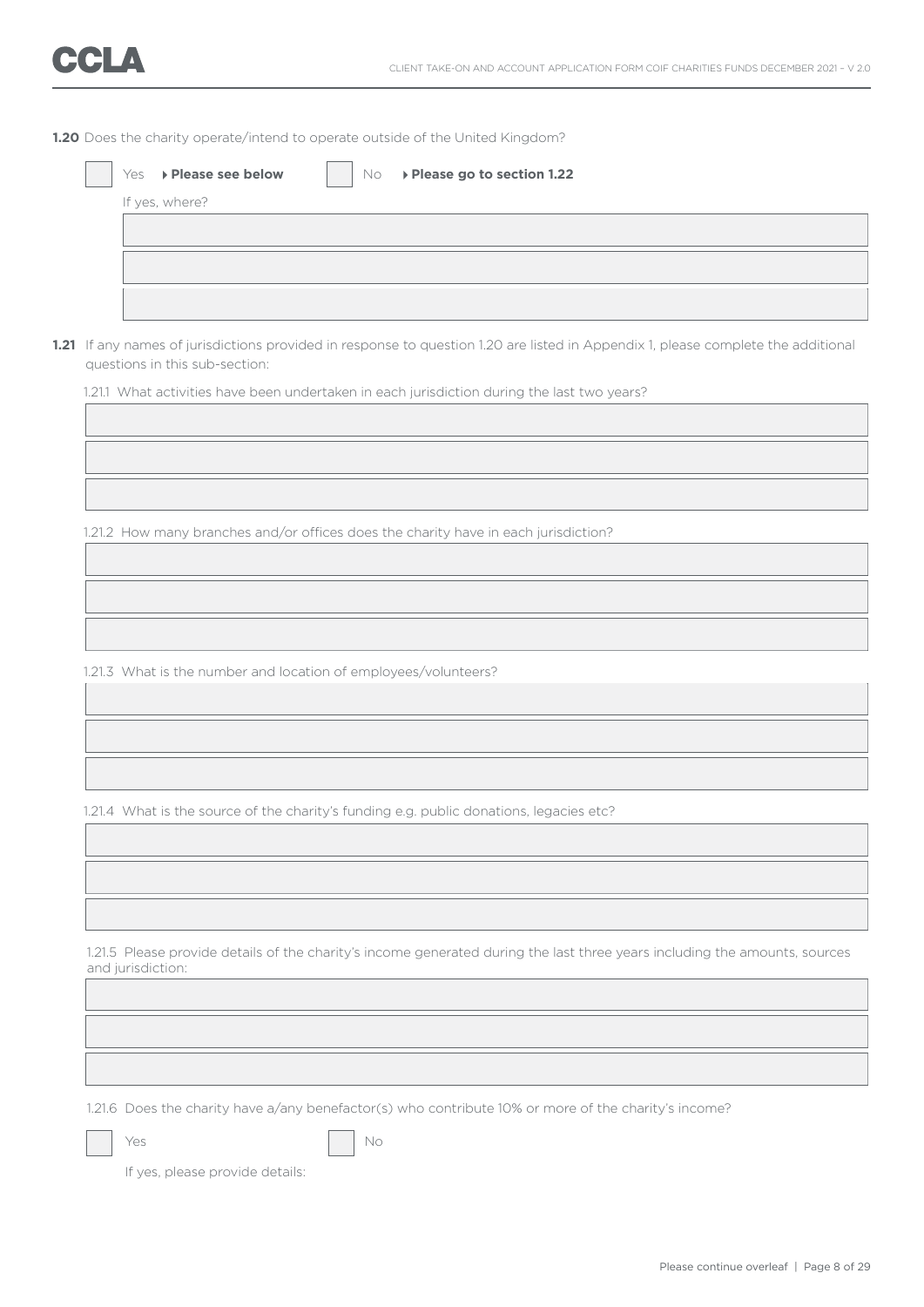|  |  |  | <b>1.20</b> Does the charity operate/intend to operate outside of the United Kingdom? |  |  |  |  |  |  |
|--|--|--|---------------------------------------------------------------------------------------|--|--|--|--|--|--|
|--|--|--|---------------------------------------------------------------------------------------|--|--|--|--|--|--|

|  | 1.21 If any names of jurisdictions provided in response to question 1.20 are listed in Appendix 1, please complete the additional<br>questions in this sub-section: |
|--|---------------------------------------------------------------------------------------------------------------------------------------------------------------------|
|  | 1.21.1 What activities have been undertaken in each jurisdiction during the last two years?                                                                         |
|  |                                                                                                                                                                     |
|  |                                                                                                                                                                     |
|  |                                                                                                                                                                     |
|  | 1.21.2 How many branches and/or offices does the charity have in each jurisdiction?                                                                                 |
|  |                                                                                                                                                                     |
|  |                                                                                                                                                                     |
|  |                                                                                                                                                                     |
|  | 1.21.3 What is the number and location of employees/volunteers?                                                                                                     |
|  |                                                                                                                                                                     |
|  |                                                                                                                                                                     |
|  |                                                                                                                                                                     |
|  |                                                                                                                                                                     |
|  | 1.21.4 What is the source of the charity's funding e.g. public donations, legacies etc?                                                                             |
|  |                                                                                                                                                                     |
|  |                                                                                                                                                                     |
|  |                                                                                                                                                                     |
|  | 1.21.5 Please provide details of the charity's income generated during the last three years including the amounts, sources                                          |
|  | and jurisdiction:                                                                                                                                                   |
|  |                                                                                                                                                                     |
|  |                                                                                                                                                                     |
|  |                                                                                                                                                                     |
|  | 1.21.6 Does the charity have a/any benefactor(s) who contribute 10% or more of the charity's income?                                                                |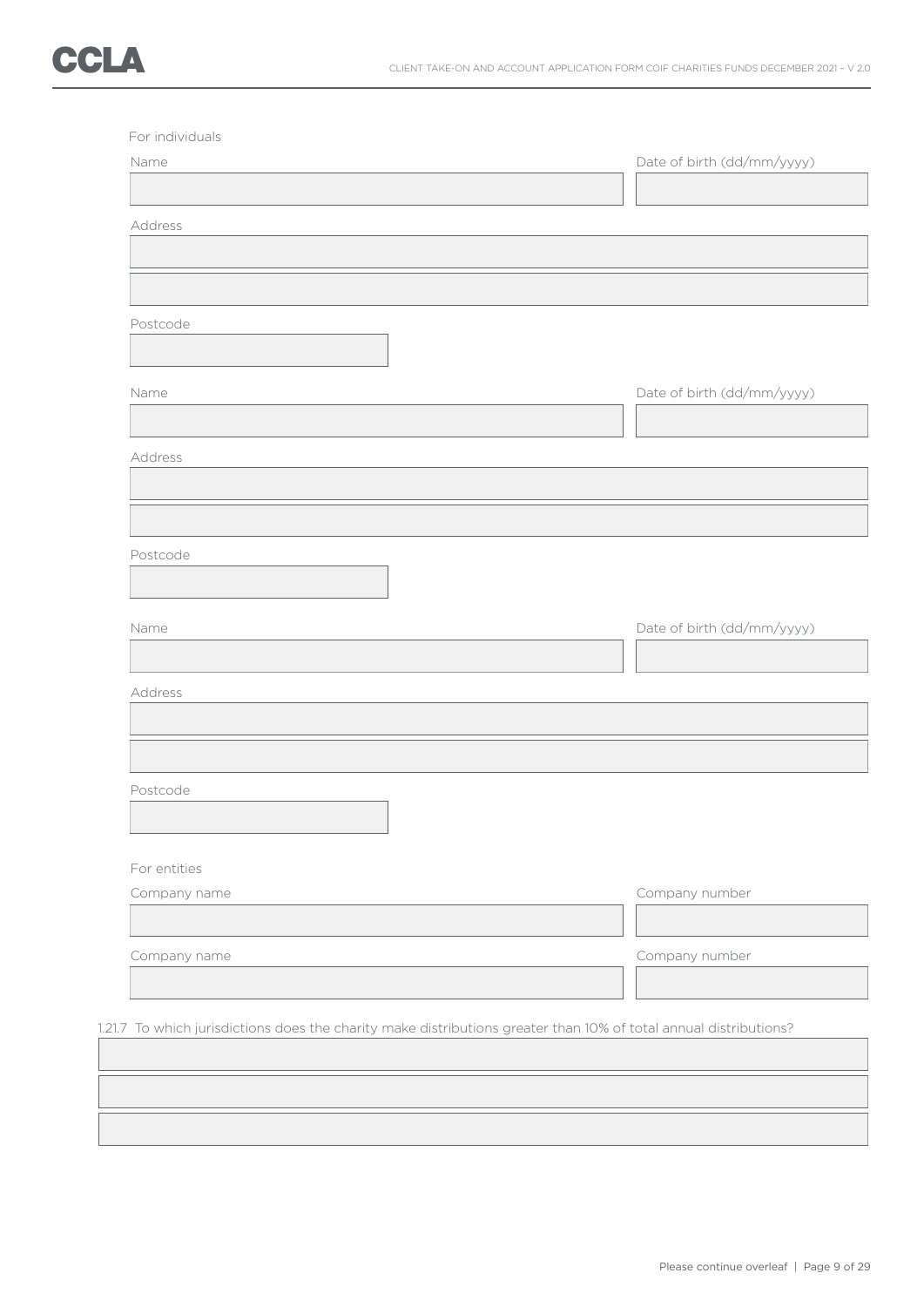| Name         | Date of birth (dd/mm/yyyy)                                                                                        |
|--------------|-------------------------------------------------------------------------------------------------------------------|
|              |                                                                                                                   |
| Address      |                                                                                                                   |
|              |                                                                                                                   |
|              |                                                                                                                   |
|              |                                                                                                                   |
| Postcode     |                                                                                                                   |
|              |                                                                                                                   |
|              |                                                                                                                   |
| Name         | Date of birth (dd/mm/yyyy)                                                                                        |
|              |                                                                                                                   |
| Address      |                                                                                                                   |
|              |                                                                                                                   |
|              |                                                                                                                   |
|              |                                                                                                                   |
| Postcode     |                                                                                                                   |
|              |                                                                                                                   |
|              |                                                                                                                   |
| Name         | Date of birth (dd/mm/yyyy)                                                                                        |
|              |                                                                                                                   |
| Address      |                                                                                                                   |
|              |                                                                                                                   |
|              |                                                                                                                   |
|              |                                                                                                                   |
| Postcode     |                                                                                                                   |
|              |                                                                                                                   |
|              |                                                                                                                   |
| For entities |                                                                                                                   |
| Company name | Company number                                                                                                    |
|              |                                                                                                                   |
|              |                                                                                                                   |
| Company name | Company number                                                                                                    |
|              |                                                                                                                   |
|              |                                                                                                                   |
|              | 1.21.7 To which jurisdictions does the charity make distributions greater than 10% of total annual distributions? |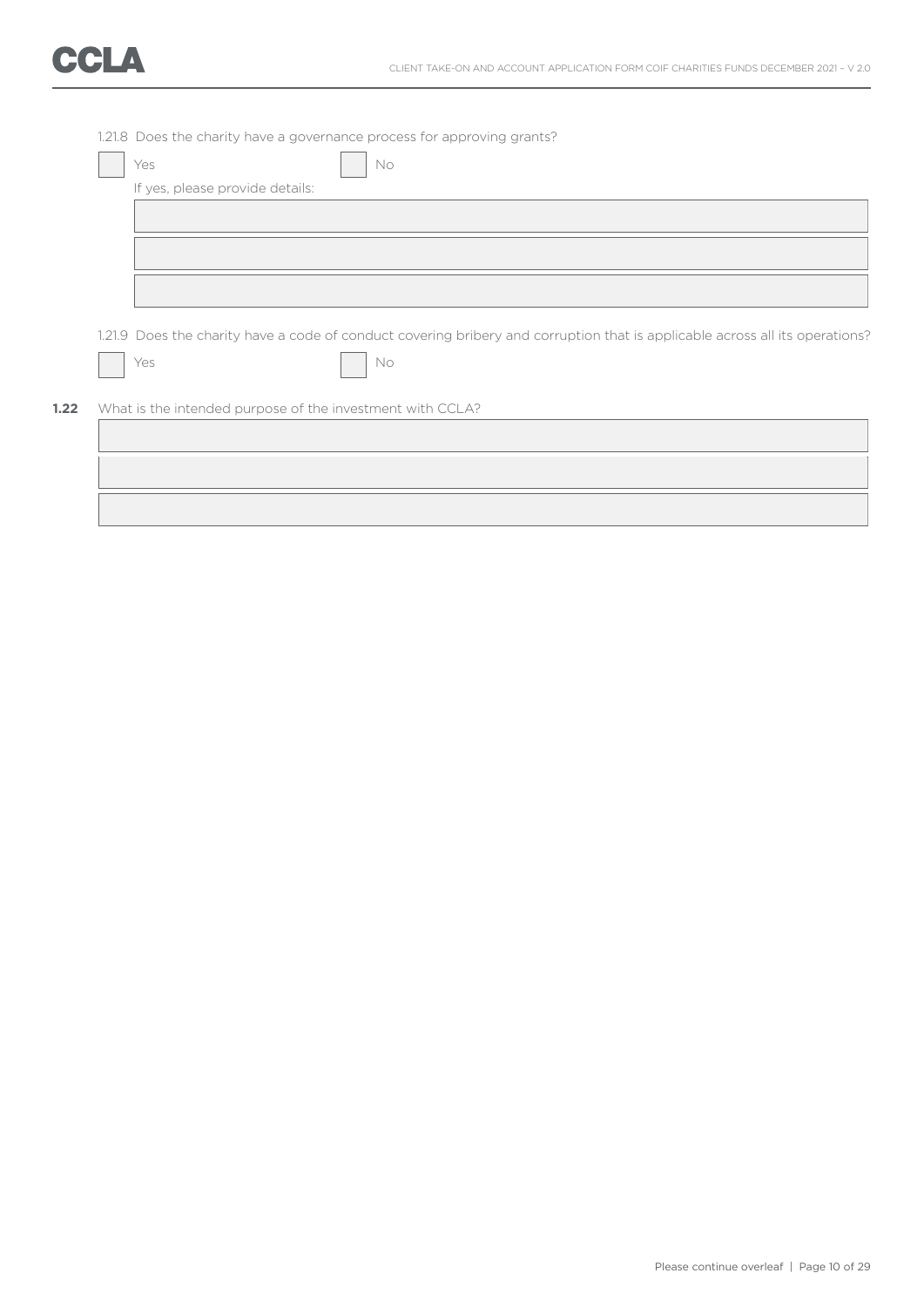|                                 | 1.21.8 Does the charity have a governance process for approving grants?                                                      |
|---------------------------------|------------------------------------------------------------------------------------------------------------------------------|
| Yes                             | No                                                                                                                           |
| If yes, please provide details: |                                                                                                                              |
|                                 |                                                                                                                              |
|                                 |                                                                                                                              |
|                                 |                                                                                                                              |
|                                 |                                                                                                                              |
|                                 |                                                                                                                              |
|                                 | 1.21.9 Does the charity have a code of conduct covering bribery and corruption that is applicable across all its operations? |
|                                 |                                                                                                                              |
| Yes                             | No                                                                                                                           |
|                                 |                                                                                                                              |
|                                 | What is the intended purpose of the investment with CCLA?                                                                    |
|                                 |                                                                                                                              |
|                                 |                                                                                                                              |
|                                 |                                                                                                                              |
|                                 |                                                                                                                              |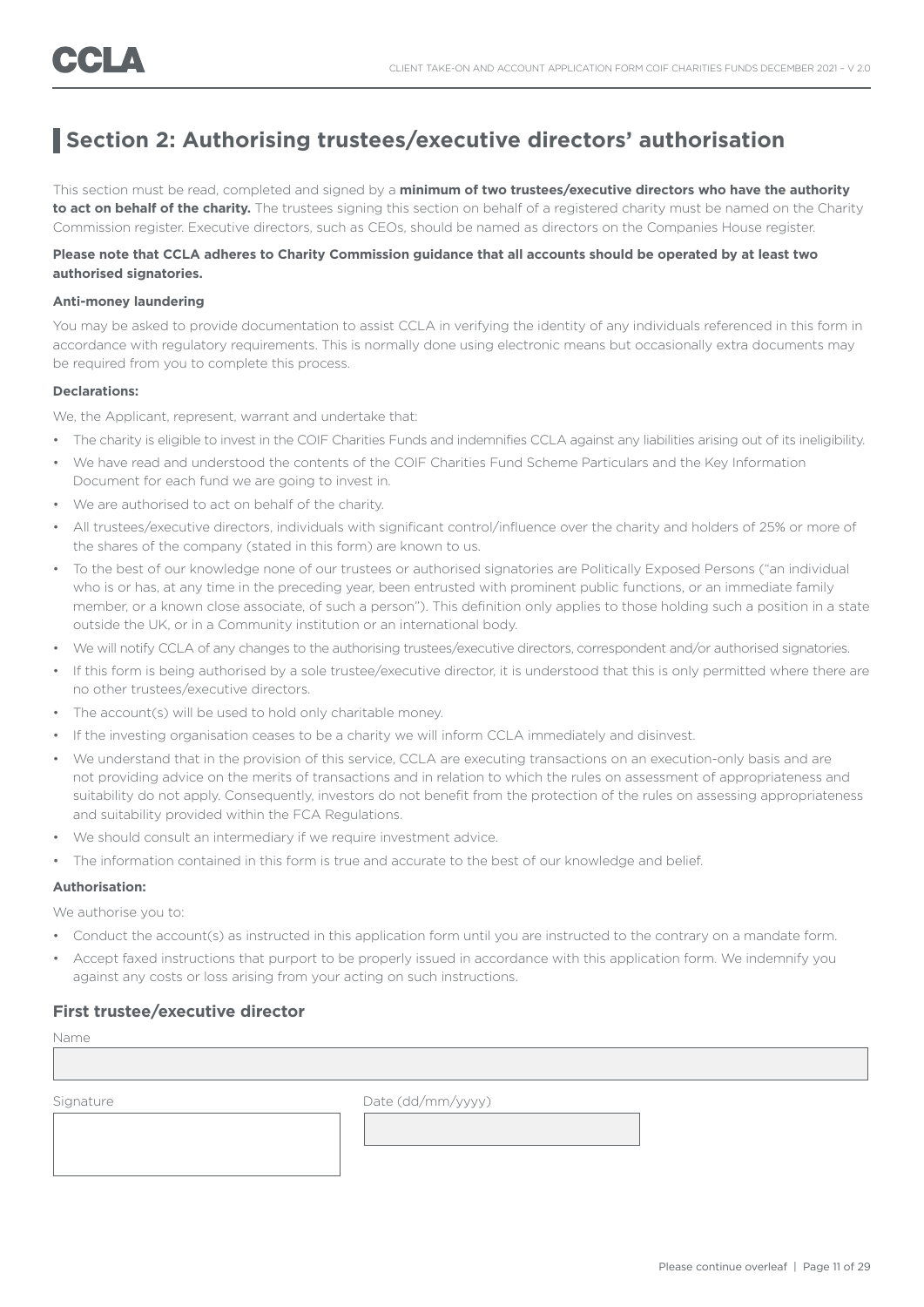## **Section 2: Authorising trustees/executive directors' authorisation**

This section must be read, completed and signed by a **minimum of two trustees/executive directors who have the authority**  to act on behalf of the charity. The trustees signing this section on behalf of a registered charity must be named on the Charity Commission register. Executive directors, such as CEOs, should be named as directors on the Companies House register.

#### **Please note that CCLA adheres to Charity Commission guidance that all accounts should be operated by at least two authorised signatories.**

#### **Anti-money laundering**

You may be asked to provide documentation to assist CCLA in verifying the identity of any individuals referenced in this form in accordance with regulatory requirements. This is normally done using electronic means but occasionally extra documents may be required from you to complete this process.

#### **Declarations:**

We, the Applicant, represent, warrant and undertake that:

- The charity is eligible to invest in the COIF Charities Funds and indemnifies CCLA against any liabilities arising out of its ineligibility.
- We have read and understood the contents of the COIF Charities Fund Scheme Particulars and the Key Information Document for each fund we are going to invest in.
- We are authorised to act on behalf of the charity.
- All trustees/executive directors, individuals with significant control/influence over the charity and holders of 25% or more of the shares of the company (stated in this form) are known to us.
- To the best of our knowledge none of our trustees or authorised signatories are Politically Exposed Persons ("an individual who is or has, at any time in the preceding year, been entrusted with prominent public functions, or an immediate family member, or a known close associate, of such a person"). This definition only applies to those holding such a position in a state outside the UK, or in a Community institution or an international body.
- We will notify CCLA of any changes to the authorising trustees/executive directors, correspondent and/or authorised signatories.
- If this form is being authorised by a sole trustee/executive director, it is understood that this is only permitted where there are no other trustees/executive directors.
- The account(s) will be used to hold only charitable money.
- If the investing organisation ceases to be a charity we will inform CCLA immediately and disinvest.
- We understand that in the provision of this service, CCLA are executing transactions on an execution-only basis and are not providing advice on the merits of transactions and in relation to which the rules on assessment of appropriateness and suitability do not apply. Consequently, investors do not benefit from the protection of the rules on assessing appropriateness and suitability provided within the FCA Regulations.
- We should consult an intermediary if we require investment advice.
- The information contained in this form is true and accurate to the best of our knowledge and belief.

#### **Authorisation:**

We authorise you to:

- Conduct the account(s) as instructed in this application form until you are instructed to the contrary on a mandate form.
- Accept faxed instructions that purport to be properly issued in accordance with this application form. We indemnify you against any costs or loss arising from your acting on such instructions.

#### **First trustee/executive director**

Name

Signature Date (dd/mm/yyyy)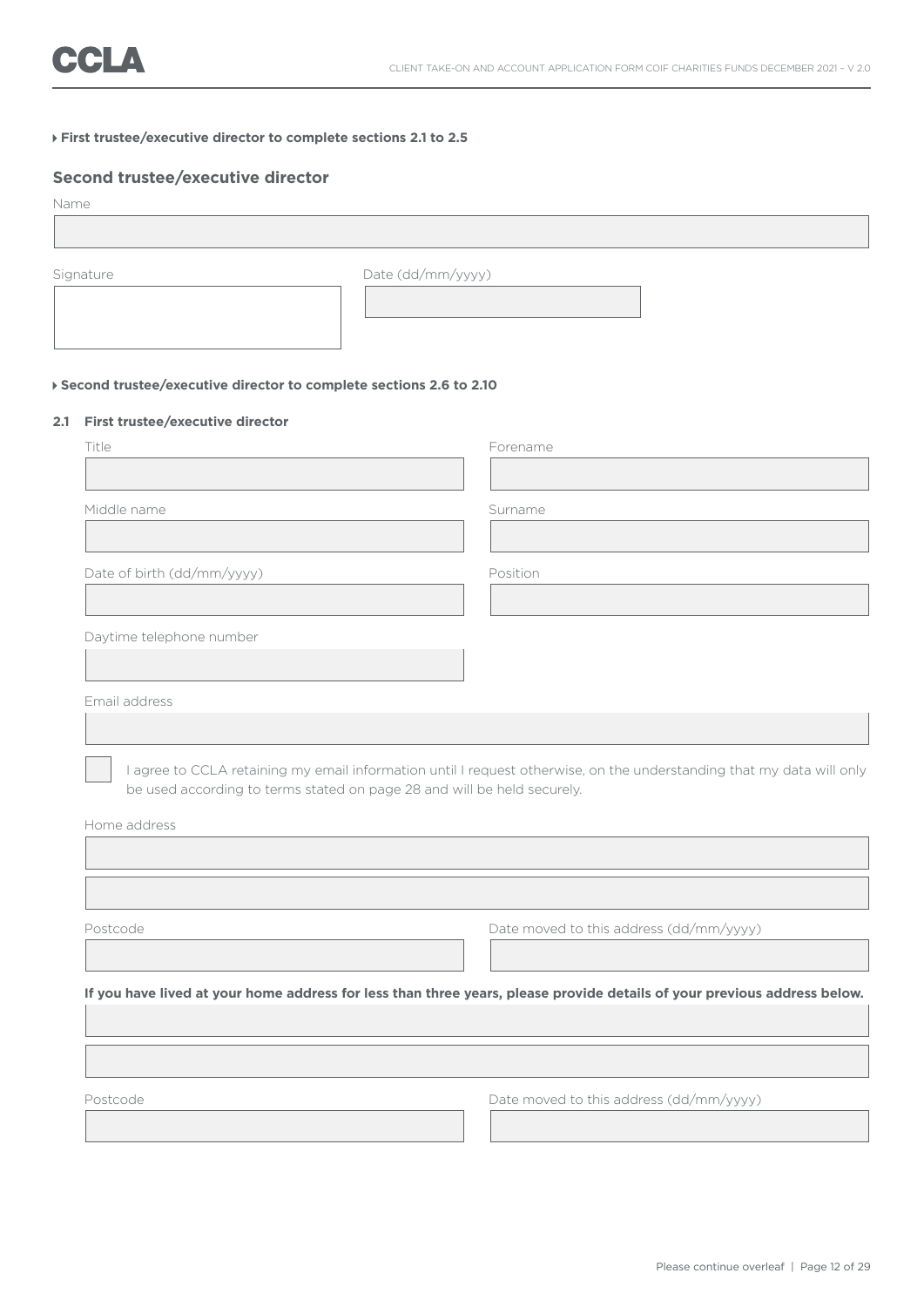#### **First trustee/executive director to complete sections 2.1 to 2.5**

#### **Second trustee/executive director**

| Name      |                                                                      |  |
|-----------|----------------------------------------------------------------------|--|
| Signature | Date (dd/mm/yyyy)                                                    |  |
|           | ▶ Second trustee/executive director to complete sections 2.6 to 2.10 |  |

#### **2.1 First trustee/executive director**

|                                                                         | Forename                                                                                                                 |
|-------------------------------------------------------------------------|--------------------------------------------------------------------------------------------------------------------------|
|                                                                         |                                                                                                                          |
| Middle name                                                             | Surname                                                                                                                  |
|                                                                         |                                                                                                                          |
| Date of birth (dd/mm/yyyy)                                              | Position                                                                                                                 |
| Daytime telephone number                                                |                                                                                                                          |
| Email address                                                           |                                                                                                                          |
|                                                                         |                                                                                                                          |
| be used according to terms stated on page 28 and will be held securely. | I agree to CCLA retaining my email information until I request otherwise, on the understanding that my data will only    |
|                                                                         |                                                                                                                          |
| Home address<br>Postcode                                                | Date moved to this address (dd/mm/yyyy)                                                                                  |
|                                                                         |                                                                                                                          |
|                                                                         | If you have lived at your home address for less than three years, please provide details of your previous address below. |
|                                                                         |                                                                                                                          |
|                                                                         |                                                                                                                          |
| Postcode                                                                | Date moved to this address (dd/mm/yyyy)                                                                                  |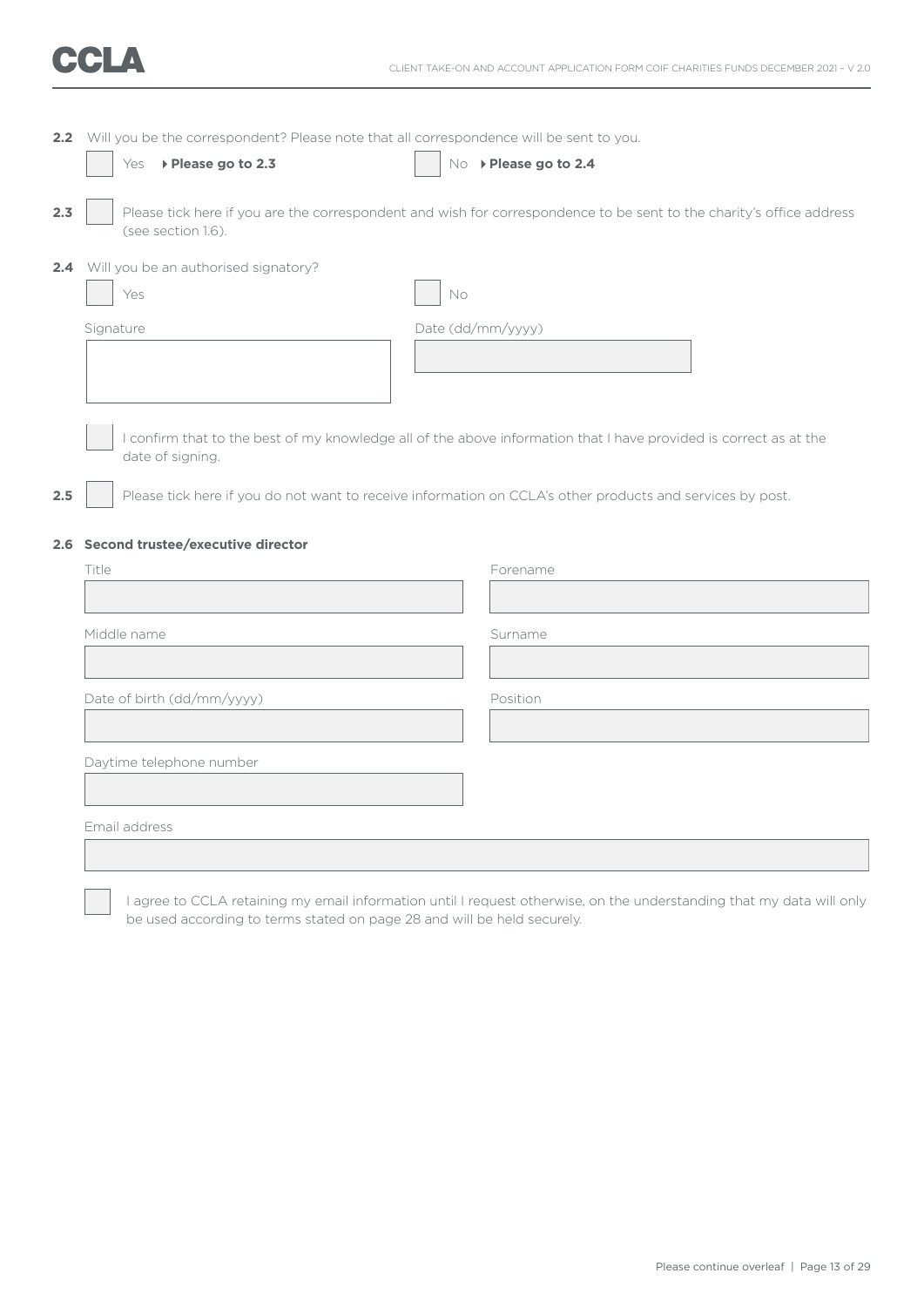|     | 2.2 Will you be the correspondent? Please note that all correspondence will be sent to you. |                                                                                                                      |
|-----|---------------------------------------------------------------------------------------------|----------------------------------------------------------------------------------------------------------------------|
|     | ▶ Please go to 2.3<br>Yes                                                                   | No > Please go to 2.4                                                                                                |
| 2.3 | (see section 1.6).                                                                          | Please tick here if you are the correspondent and wish for correspondence to be sent to the charity's office address |
|     | 2.4 Will you be an authorised signatory?                                                    |                                                                                                                      |
|     | Yes                                                                                         | $\mathsf{No}$                                                                                                        |
|     | Signature                                                                                   | Date (dd/mm/yyyy)                                                                                                    |
|     |                                                                                             |                                                                                                                      |
|     |                                                                                             |                                                                                                                      |
|     |                                                                                             |                                                                                                                      |
|     | date of signing.                                                                            | I confirm that to the best of my knowledge all of the above information that I have provided is correct as at the    |
|     |                                                                                             |                                                                                                                      |
| 2.5 |                                                                                             | Please tick here if you do not want to receive information on CCLA's other products and services by post.            |
|     | 2.6 Second trustee/executive director                                                       |                                                                                                                      |
|     | Title                                                                                       | Forename                                                                                                             |
|     |                                                                                             |                                                                                                                      |
|     | Middle name                                                                                 | Surname                                                                                                              |
|     |                                                                                             |                                                                                                                      |
|     |                                                                                             |                                                                                                                      |
|     | Date of birth (dd/mm/yyyy)                                                                  | Position                                                                                                             |
|     |                                                                                             |                                                                                                                      |
|     | Daytime telephone number                                                                    |                                                                                                                      |
|     |                                                                                             |                                                                                                                      |
|     | Email address                                                                               |                                                                                                                      |
|     |                                                                                             |                                                                                                                      |

 I agree to CCLA retaining my email information until I request otherwise, on the understanding that my data will only be used according to terms stated on page 28 and will be held securely.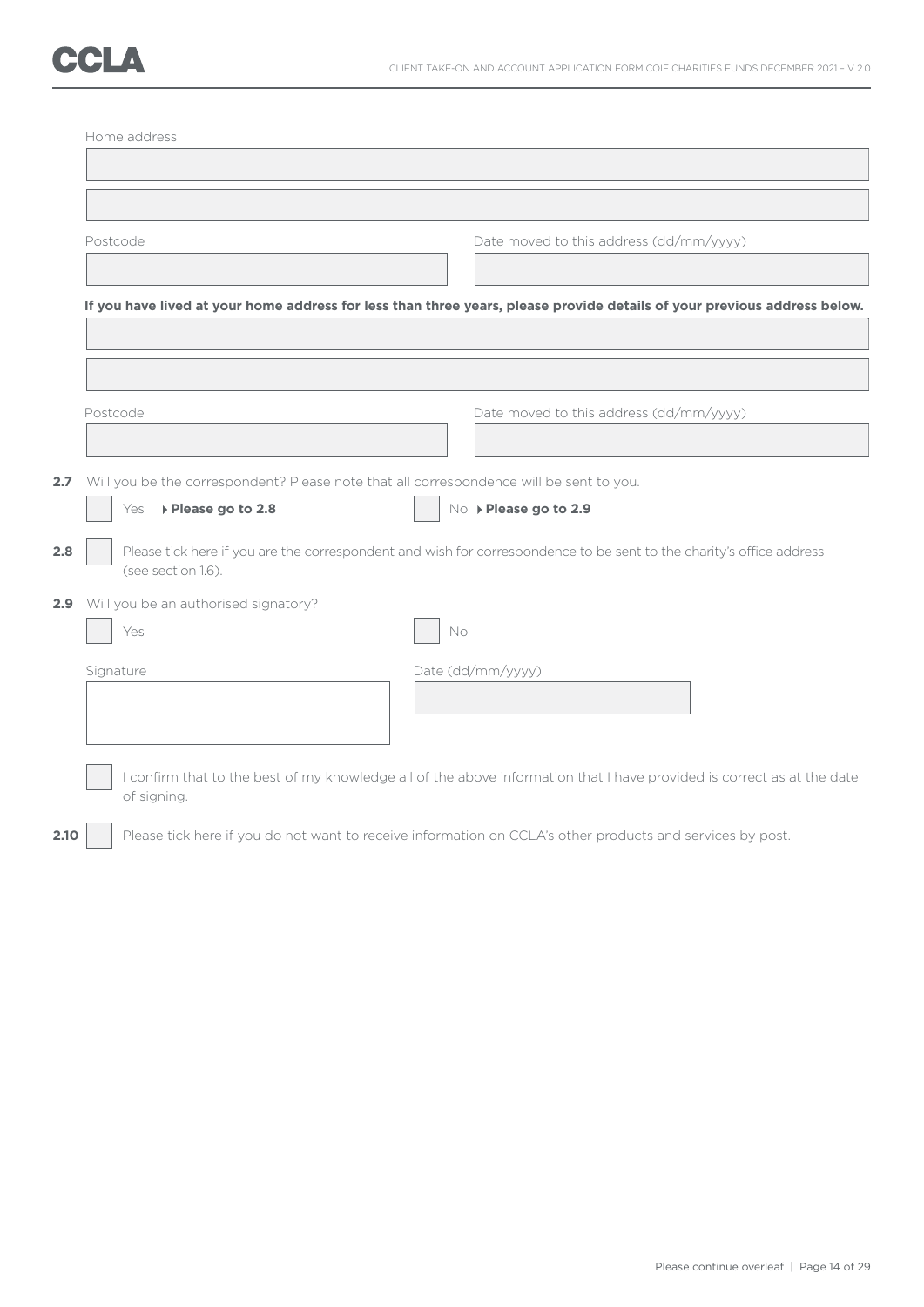|                                                                                         | Date moved to this address (dd/mm/yyyy)                                                                                  |
|-----------------------------------------------------------------------------------------|--------------------------------------------------------------------------------------------------------------------------|
|                                                                                         | If you have lived at your home address for less than three years, please provide details of your previous address below. |
|                                                                                         |                                                                                                                          |
| Postcode                                                                                | Date moved to this address (dd/mm/yyyy)                                                                                  |
|                                                                                         |                                                                                                                          |
| Will you be the correspondent? Please note that all correspondence will be sent to you. |                                                                                                                          |
| Yes > Please go to 2.8                                                                  | No > Please go to 2.9                                                                                                    |
| (see section 1.6).                                                                      | Please tick here if you are the correspondent and wish for correspondence to be sent to the charity's office address     |
|                                                                                         |                                                                                                                          |
| 2.9 Will you be an authorised signatory?                                                |                                                                                                                          |
| Yes                                                                                     | No                                                                                                                       |
|                                                                                         |                                                                                                                          |
| Signature                                                                               | Date (dd/mm/yyyy)                                                                                                        |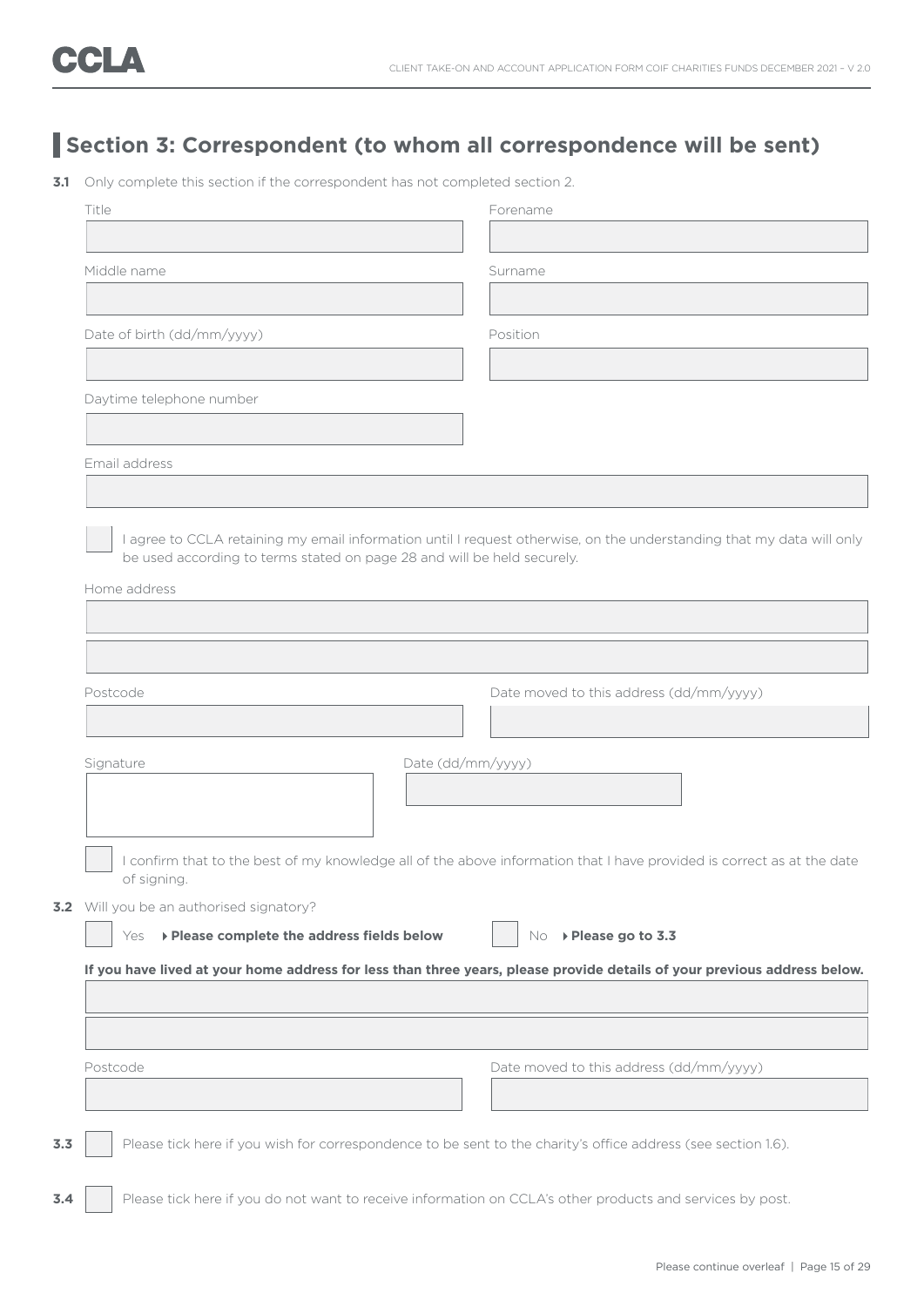## **Section 3: Correspondent (to whom all correspondence will be sent)**

**3.1** Only complete this section if the correspondent has not completed section 2.

| Title                                                                                   | Forename                                                                                                                 |
|-----------------------------------------------------------------------------------------|--------------------------------------------------------------------------------------------------------------------------|
|                                                                                         |                                                                                                                          |
| Middle name                                                                             | Surname                                                                                                                  |
|                                                                                         | Position                                                                                                                 |
| Date of birth (dd/mm/yyyy)                                                              |                                                                                                                          |
| Daytime telephone number                                                                |                                                                                                                          |
|                                                                                         |                                                                                                                          |
| Email address                                                                           |                                                                                                                          |
|                                                                                         |                                                                                                                          |
|                                                                                         | I agree to CCLA retaining my email information until I request otherwise, on the understanding that my data will only    |
| be used according to terms stated on page 28 and will be held securely.<br>Home address |                                                                                                                          |
|                                                                                         |                                                                                                                          |
|                                                                                         |                                                                                                                          |
|                                                                                         |                                                                                                                          |
| Postcode                                                                                | Date moved to this address (dd/mm/yyyy)                                                                                  |
|                                                                                         |                                                                                                                          |
| Signature                                                                               | Date (dd/mm/yyyy)                                                                                                        |
|                                                                                         |                                                                                                                          |
|                                                                                         | I confirm that to the best of my knowledge all of the above information that I have provided is correct as at the date   |
| of signing.                                                                             |                                                                                                                          |
| 3.2 Will you be an authorised signatory?                                                |                                                                                                                          |
| ▶ Please complete the address fields below<br>Yes                                       | No ▶ Please go to 3.3                                                                                                    |
|                                                                                         | If you have lived at your home address for less than three years, please provide details of your previous address below. |
|                                                                                         |                                                                                                                          |
|                                                                                         |                                                                                                                          |
| Postcode                                                                                | Date moved to this address (dd/mm/yyyy)                                                                                  |
|                                                                                         |                                                                                                                          |
|                                                                                         | Please tick here if you wish for correspondence to be sent to the charity's office address (see section 1.6).            |
|                                                                                         |                                                                                                                          |
|                                                                                         | Please tick here if you do not want to receive information on CCLA's other products and services by post.                |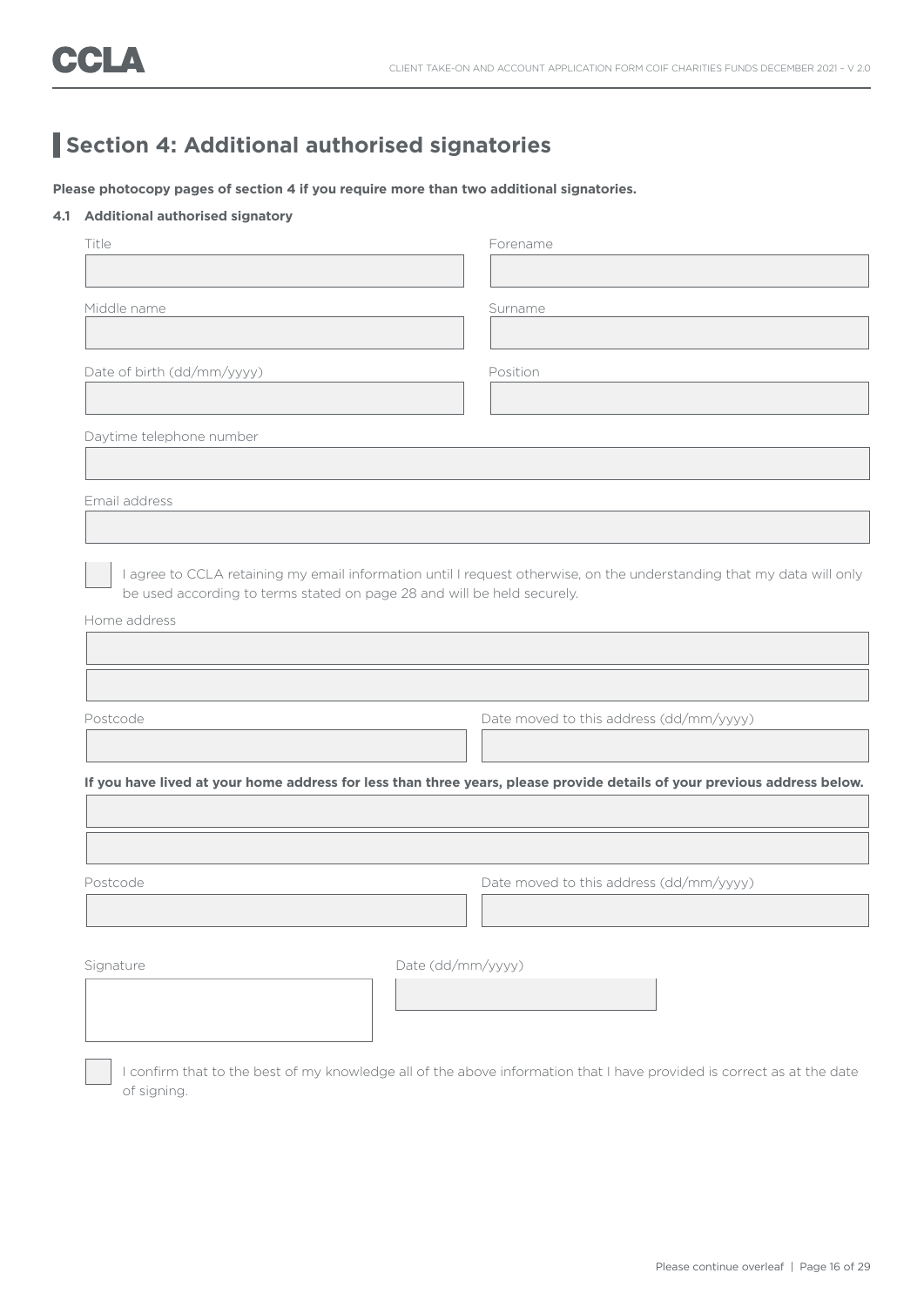## **Section 4: Additional authorised signatories**

**Please photocopy pages of section 4 if you require more than two additional signatories.**

#### **4.1 Additional authorised signatory**

| Title                                                                   | Forename                                                                                                                 |
|-------------------------------------------------------------------------|--------------------------------------------------------------------------------------------------------------------------|
|                                                                         |                                                                                                                          |
| Middle name                                                             | Surname                                                                                                                  |
|                                                                         |                                                                                                                          |
| Date of birth (dd/mm/yyyy)                                              | Position                                                                                                                 |
|                                                                         |                                                                                                                          |
| Daytime telephone number                                                |                                                                                                                          |
|                                                                         |                                                                                                                          |
| Email address                                                           |                                                                                                                          |
|                                                                         |                                                                                                                          |
| be used according to terms stated on page 28 and will be held securely. | I agree to CCLA retaining my email information until I request otherwise, on the understanding that my data will only    |
| Home address                                                            |                                                                                                                          |
|                                                                         |                                                                                                                          |
|                                                                         |                                                                                                                          |
| Postcode                                                                | Date moved to this address (dd/mm/yyyy)                                                                                  |
|                                                                         |                                                                                                                          |
|                                                                         | If you have lived at your home address for less than three years, please provide details of your previous address below. |
|                                                                         |                                                                                                                          |
|                                                                         |                                                                                                                          |
| Postcode                                                                | Date moved to this address (dd/mm/yyyy)                                                                                  |
|                                                                         |                                                                                                                          |
|                                                                         |                                                                                                                          |
| Signature                                                               | Date (dd/mm/yyyy)                                                                                                        |
|                                                                         |                                                                                                                          |
|                                                                         |                                                                                                                          |

 I confirm that to the best of my knowledge all of the above information that I have provided is correct as at the date of signing.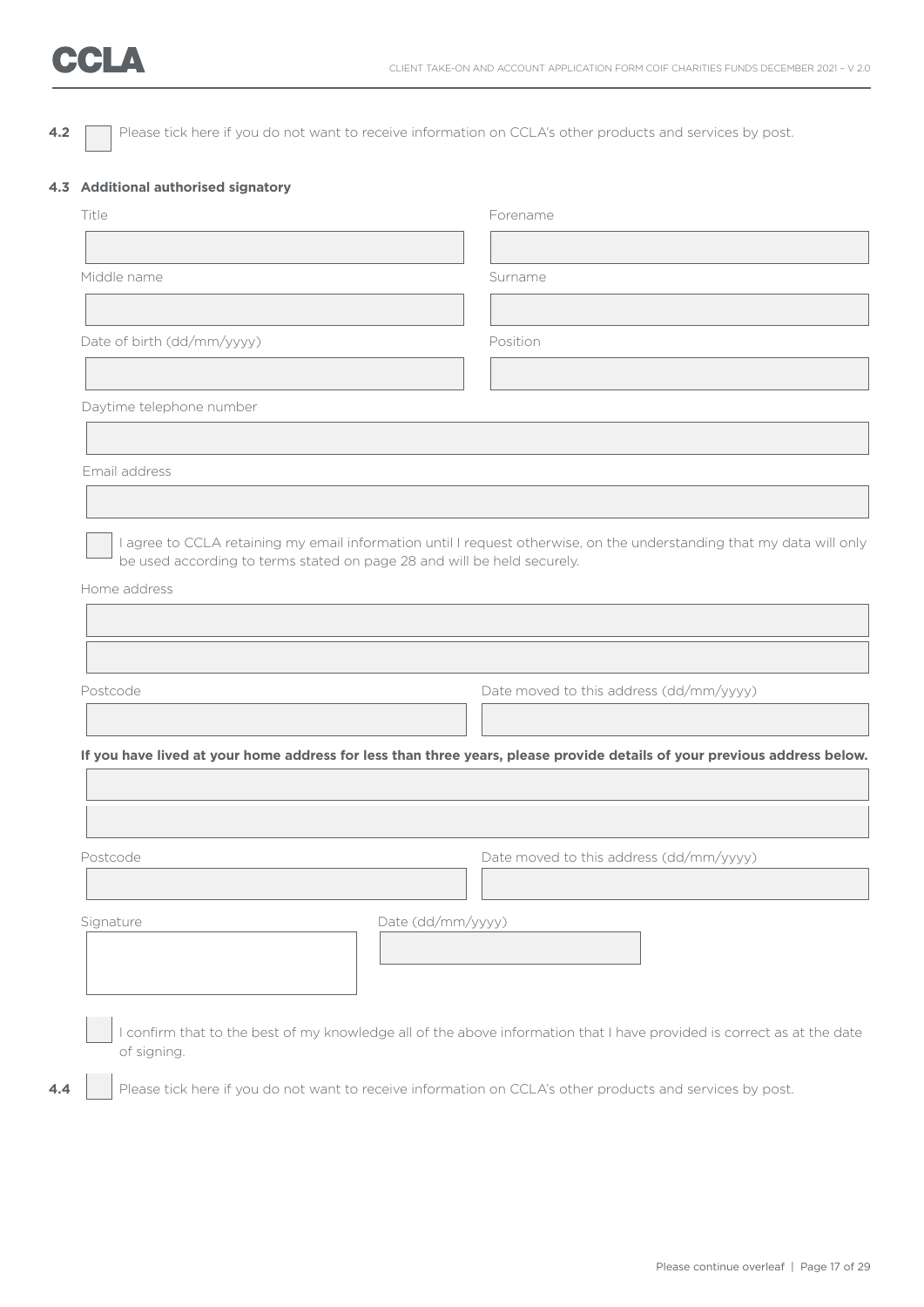**4.2** Please tick here if you do not want to receive information on CCLA's other products and services by post.

#### **4.3 Additional authorised signatory**

|                            | Forename                                                                                                                 |
|----------------------------|--------------------------------------------------------------------------------------------------------------------------|
|                            |                                                                                                                          |
| Middle name                | Surname                                                                                                                  |
|                            |                                                                                                                          |
| Date of birth (dd/mm/yyyy) | Position                                                                                                                 |
|                            |                                                                                                                          |
| Daytime telephone number   |                                                                                                                          |
|                            |                                                                                                                          |
| Email address              |                                                                                                                          |
|                            |                                                                                                                          |
| Postcode                   | Date moved to this address (dd/mm/yyyy)                                                                                  |
|                            |                                                                                                                          |
|                            |                                                                                                                          |
|                            |                                                                                                                          |
|                            |                                                                                                                          |
|                            |                                                                                                                          |
| Postcode                   |                                                                                                                          |
|                            | Date moved to this address (dd/mm/yyyy)                                                                                  |
| Signature                  | Date (dd/mm/yyyy)                                                                                                        |
|                            | If you have lived at your home address for less than three years, please provide details of your previous address below. |
|                            |                                                                                                                          |
|                            | I confirm that to the best of my knowledge all of the above information that I have provided is correct as at the date   |
| of signing.                | Please tick here if you do not want to receive information on CCLA's other products and services by post.                |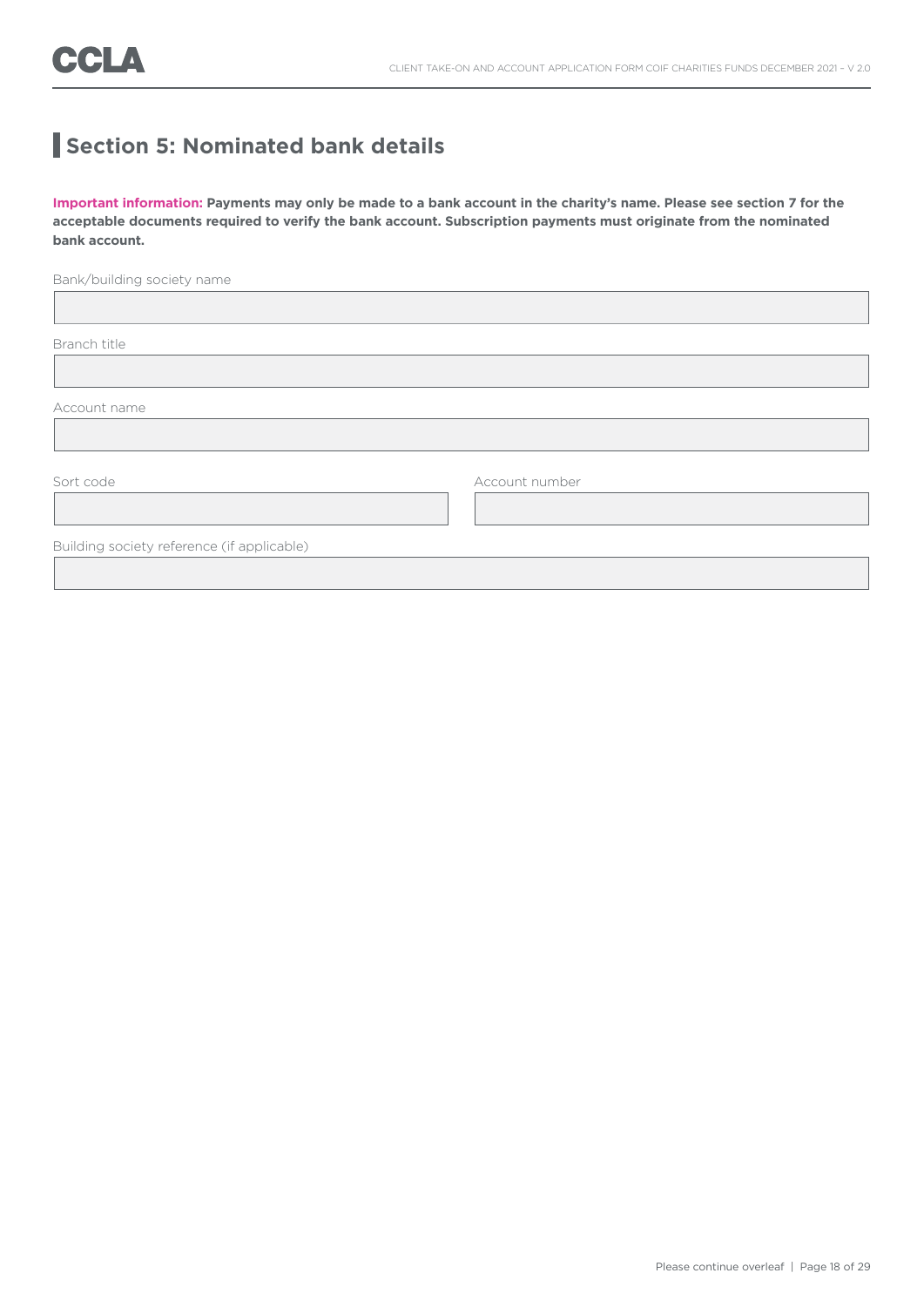## **Section 5: Nominated bank details**

**Important information: Payments may only be made to a bank account in the charity's name. Please see section 7 for the acceptable documents required to verify the bank account. Subscription payments must originate from the nominated bank account.**

Bank/building society name

Branch title

 $\overline{a}$ 

Account name

I

Sort code Account number

Building society reference (if applicable)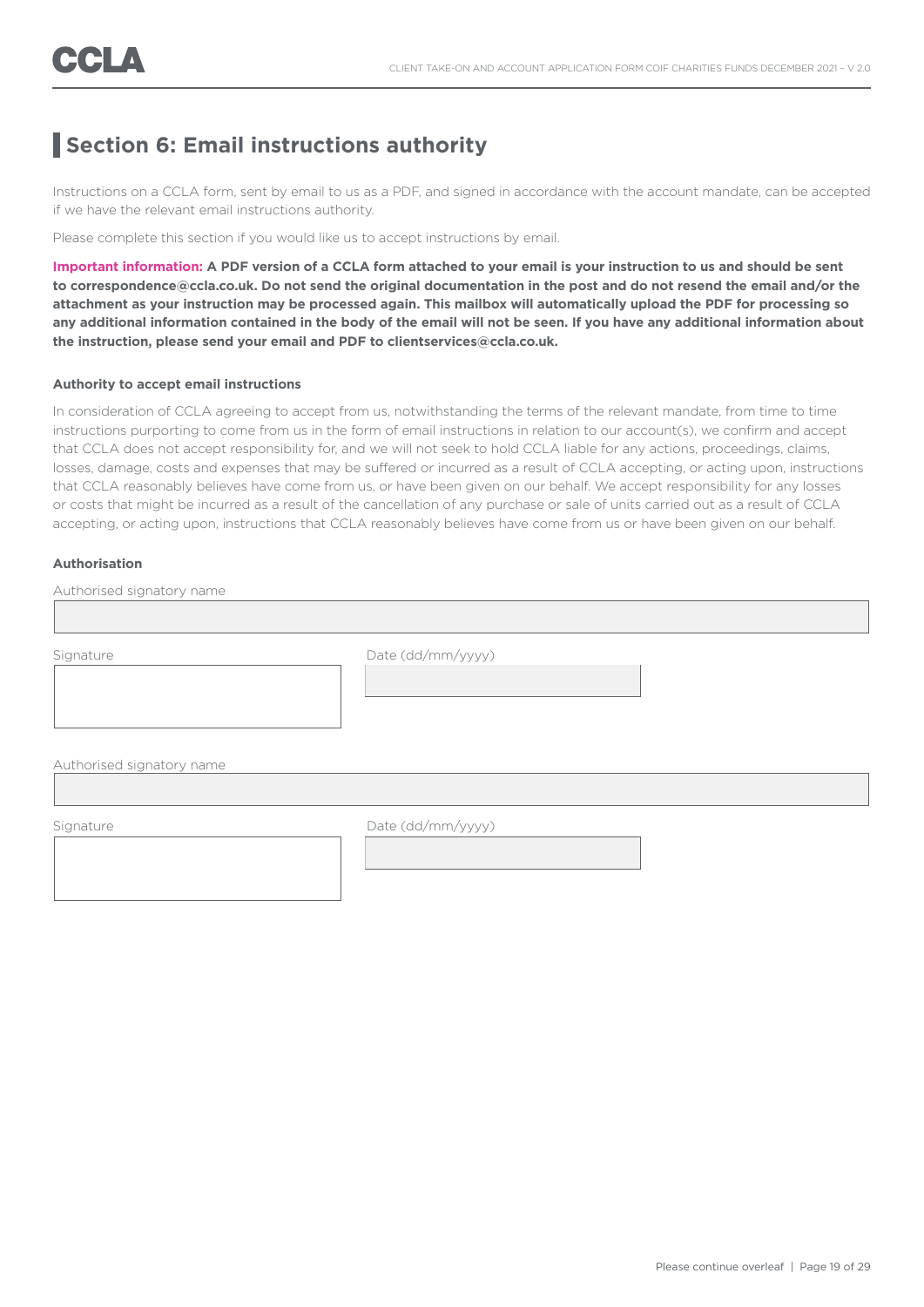### **Section 6: Email instructions authority**

Instructions on a CCLA form, sent by email to us as a PDF, and signed in accordance with the account mandate, can be accepted if we have the relevant email instructions authority.

Please complete this section if you would like us to accept instructions by email.

**Important information: A PDF version of a CCLA form attached to your email is your instruction to us and should be sent to correspondence@ccla.co.uk. Do not send the original documentation in the post and do not resend the email and/or the attachment as your instruction may be processed again. This mailbox will automatically upload the PDF for processing so any additional information contained in the body of the email will not be seen. If you have any additional information about the instruction, please send your email and PDF to clientservices@ccla.co.uk.**

#### **Authority to accept email instructions**

In consideration of CCLA agreeing to accept from us, notwithstanding the terms of the relevant mandate, from time to time instructions purporting to come from us in the form of email instructions in relation to our account(s), we confirm and accept that CCLA does not accept responsibility for, and we will not seek to hold CCLA liable for any actions, proceedings, claims, losses, damage, costs and expenses that may be suffered or incurred as a result of CCLA accepting, or acting upon, instructions that CCLA reasonably believes have come from us, or have been given on our behalf. We accept responsibility for any losses or costs that might be incurred as a result of the cancellation of any purchase or sale of units carried out as a result of CCLA accepting, or acting upon, instructions that CCLA reasonably believes have come from us or have been given on our behalf.

#### **Authorisation**

| Signature                 | Date (dd/mm/yyyy) |  |
|---------------------------|-------------------|--|
|                           |                   |  |
|                           |                   |  |
|                           |                   |  |
|                           |                   |  |
|                           |                   |  |
|                           |                   |  |
|                           |                   |  |
| Authorised signatory name |                   |  |

I

Signature Date (dd/mm/yyyy)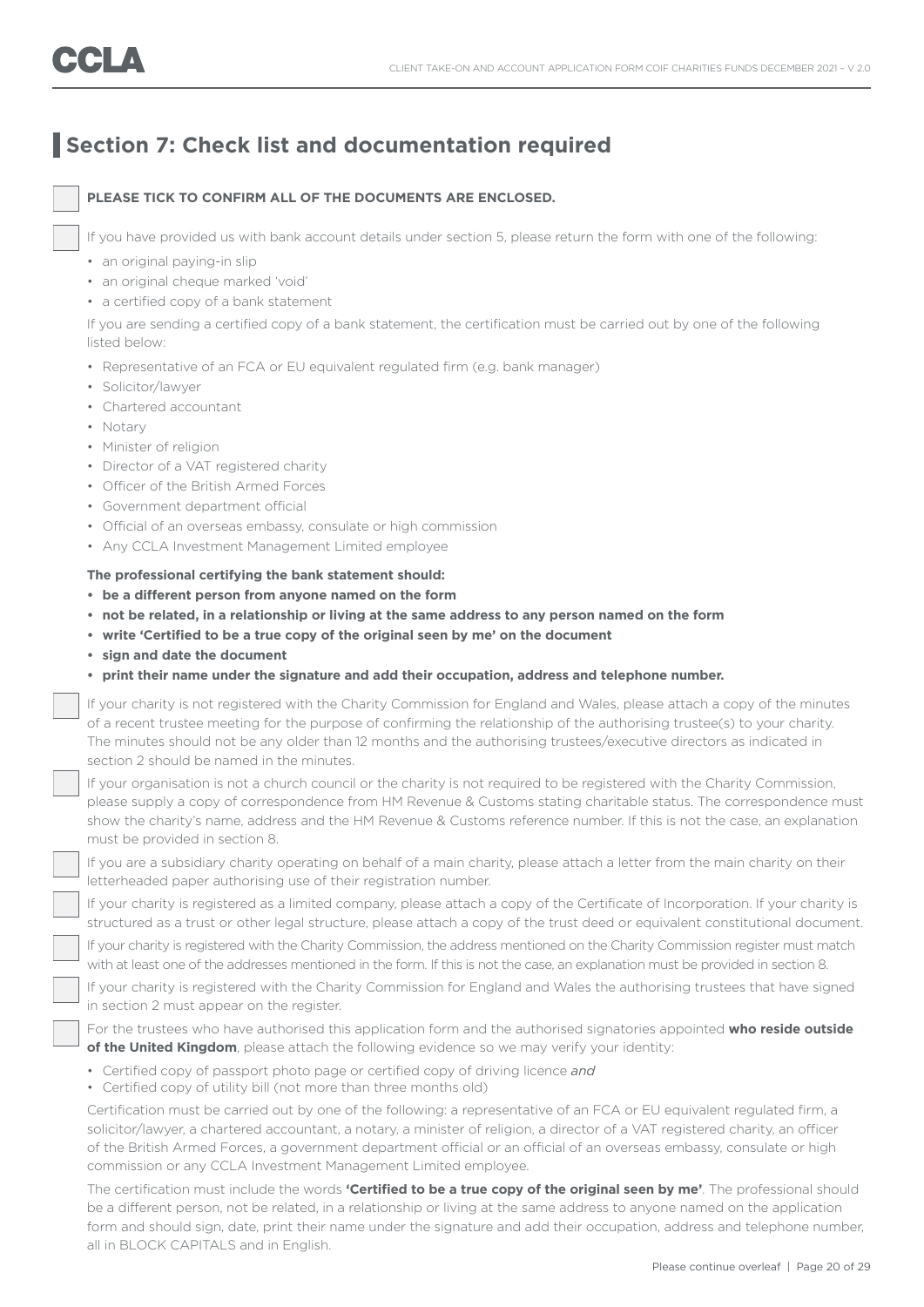## **Section 7: Check list and documentation required**

#### **PLEASE TICK TO CONFIRM ALL OF THE DOCUMENTS ARE ENCLOSED.**

If you have provided us with bank account details under section 5, please return the form with one of the following:

- an original paying-in slip
- an original cheque marked 'void'
- a certified copy of a bank statement

 If you are sending a certified copy of a bank statement, the certification must be carried out by one of the following listed below:

- Representative of an FCA or EU equivalent regulated firm (e.g. bank manager)
- Solicitor/lawyer
- Chartered accountant
- Notary
- Minister of religion
- Director of a VAT registered charity
- Officer of the British Armed Forces
- Government department official
- Official of an overseas embassy, consulate or high commission
- Any CCLA Investment Management Limited employee

#### **The professional certifying the bank statement should:**

- **• be a different person from anyone named on the form**
- **• not be related, in a relationship or living at the same address to any person named on the form**
- **• write 'Certified to be a true copy of the original seen by me' on the document**
- **• sign and date the document**
- **• print their name under the signature and add their occupation, address and telephone number.**

 If your charity is not registered with the Charity Commission for England and Wales, please attach a copy of the minutes of a recent trustee meeting for the purpose of confirming the relationship of the authorising trustee(s) to your charity. The minutes should not be any older than 12 months and the authorising trustees/executive directors as indicated in section 2 should be named in the minutes.

 If your organisation is not a church council or the charity is not required to be registered with the Charity Commission, please supply a copy of correspondence from HM Revenue & Customs stating charitable status. The correspondence must show the charity's name, address and the HM Revenue & Customs reference number. If this is not the case, an explanation must be provided in section 8.

 If you are a subsidiary charity operating on behalf of a main charity, please attach a letter from the main charity on their letterheaded paper authorising use of their registration number.

 If your charity is registered as a limited company, please attach a copy of the Certificate of Incorporation. If your charity is structured as a trust or other legal structure, please attach a copy of the trust deed or equivalent constitutional document.

 If your charity is registered with the Charity Commission, the address mentioned on the Charity Commission register must match with at least one of the addresses mentioned in the form. If this is not the case, an explanation must be provided in section 8.

 If your charity is registered with the Charity Commission for England and Wales the authorising trustees that have signed in section 2 must appear on the register.

 For the trustees who have authorised this application form and the authorised signatories appointed **who reside outside**  of the United Kingdom, please attach the following evidence so we may verify your identity:

- Certified copy of passport photo page or certified copy of driving licence *and*
- Certified copy of utility bill (not more than three months old)

 Certification must be carried out by one of the following: a representative of an FCA or EU equivalent regulated firm, a solicitor/lawyer, a chartered accountant, a notary, a minister of religion, a director of a VAT registered charity, an officer of the British Armed Forces, a government department official or an official of an overseas embassy, consulate or high commission or any CCLA Investment Management Limited employee.

 The certification must include the words **'Certified to be a true copy of the original seen by me'**. The professional should be a different person, not be related, in a relationship or living at the same address to anyone named on the application form and should sign, date, print their name under the signature and add their occupation, address and telephone number, all in BLOCK CAPITALS and in English.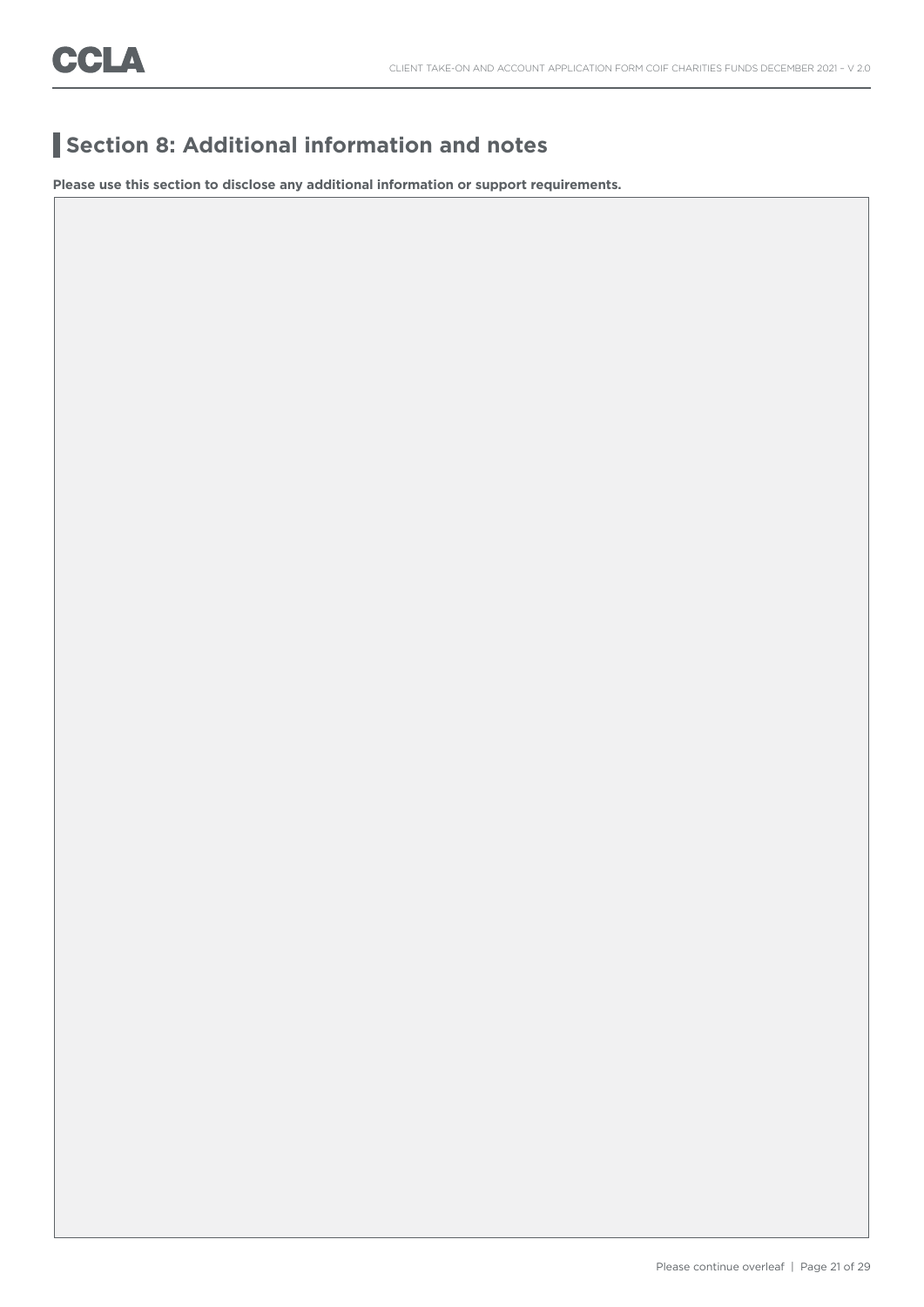## **Section 8: Additional information and notes**

**Please use this section to disclose any additional information or support requirements.**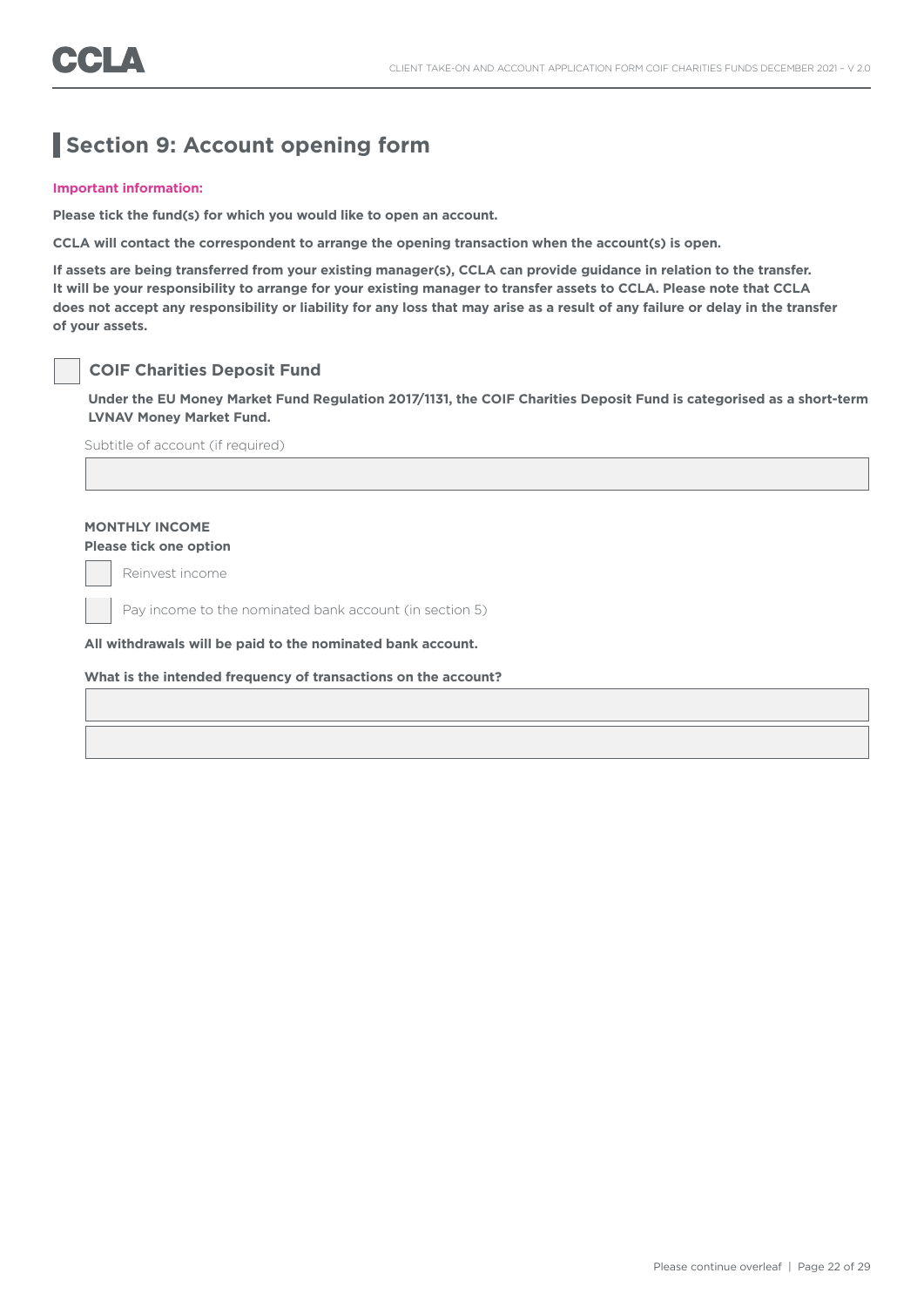## **Section 9: Account opening form**

#### **Important information:**

**Please tick the fund(s) for which you would like to open an account.** 

**CCLA will contact the correspondent to arrange the opening transaction when the account(s) is open.**

**If assets are being transferred from your existing manager(s), CCLA can provide guidance in relation to the transfer. It will be your responsibility to arrange for your existing manager to transfer assets to CCLA. Please note that CCLA does not accept any responsibility or liability for any loss that may arise as a result of any failure or delay in the transfer of your assets.**

#### **COIF Charities Deposit Fund**

**Under the EU Money Market Fund Regulation 2017/1131, the COIF Charities Deposit Fund is categorised as a short-term LVNAV Money Market Fund.**

Subtitle of account (if required)

### **MONTHLY INCOME**

**Please tick one option**

Reinvest income

Pay income to the nominated bank account (in section 5)

**All withdrawals will be paid to the nominated bank account.** 

#### **What is the intended frequency of transactions on the account?**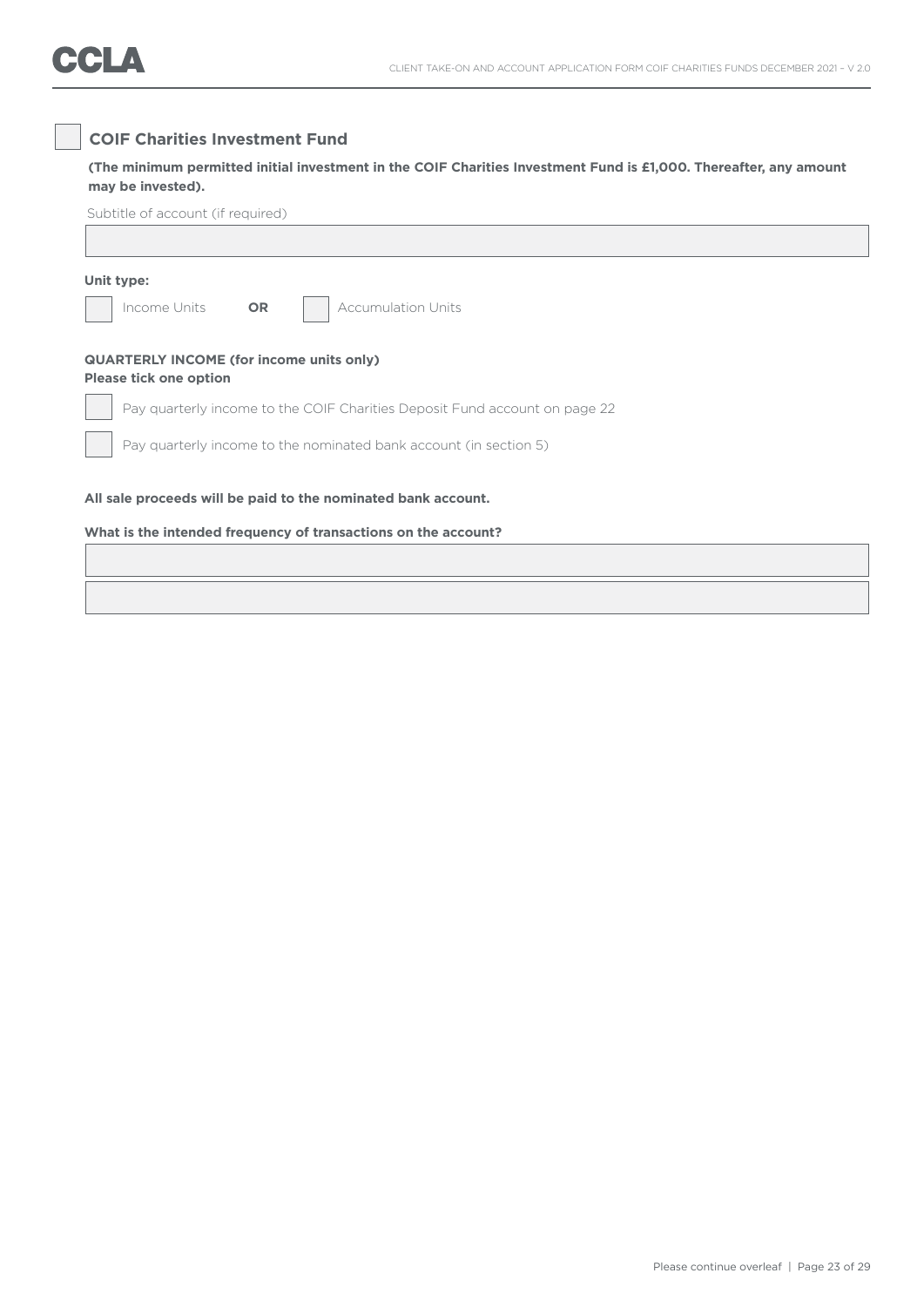### **COIF Charities Investment Fund**

 **(The minimum permitted initial investment in the COIF Charities Investment Fund is £1,000. Thereafter, any amount may be invested).**

| Unit type:                    |                                                                            |  |
|-------------------------------|----------------------------------------------------------------------------|--|
| Income Units                  | <b>OR</b><br><b>Accumulation Units</b>                                     |  |
| <b>Please tick one option</b> | <b>QUARTERLY INCOME (for income units only)</b>                            |  |
|                               | Pay quarterly income to the COIF Charities Deposit Fund account on page 22 |  |
|                               | Pay quarterly income to the nominated bank account (in section 5)          |  |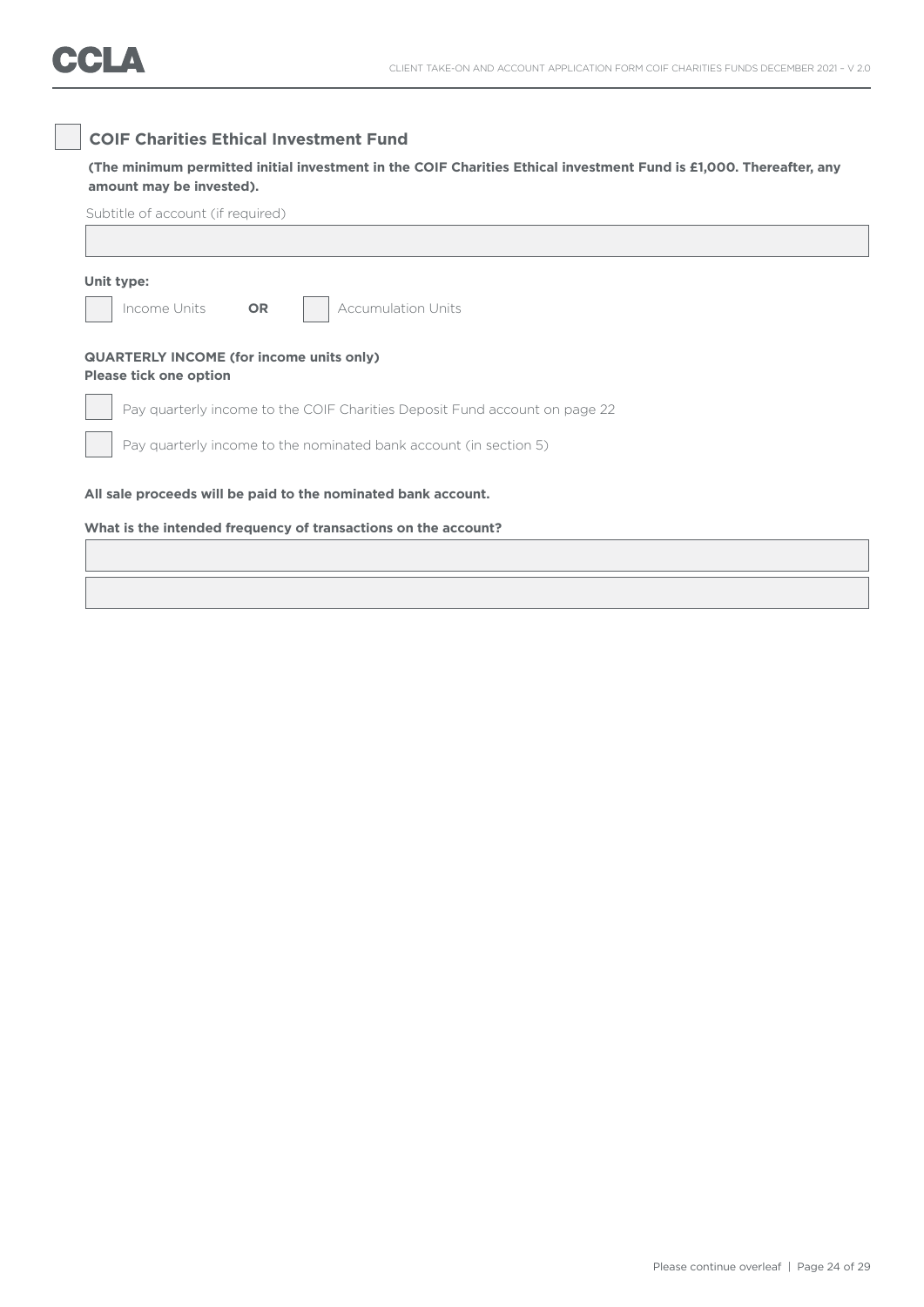### **COIF Charities Ethical Investment Fund**

**(The minimum permitted initial investment in the COIF Charities Ethical investment Fund is £1,000. Thereafter, any amount may be invested).**

| Unit type:                    |                                                                            |
|-------------------------------|----------------------------------------------------------------------------|
| Income Units                  | <b>Accumulation Units</b><br><b>OR</b>                                     |
| <b>Please tick one option</b> | <b>QUARTERLY INCOME (for income units only)</b>                            |
|                               | Pay quarterly income to the COIF Charities Deposit Fund account on page 22 |
|                               | Pay quarterly income to the nominated bank account (in section 5)          |
|                               | All sale proceeds will be paid to the nominated bank account.              |
|                               |                                                                            |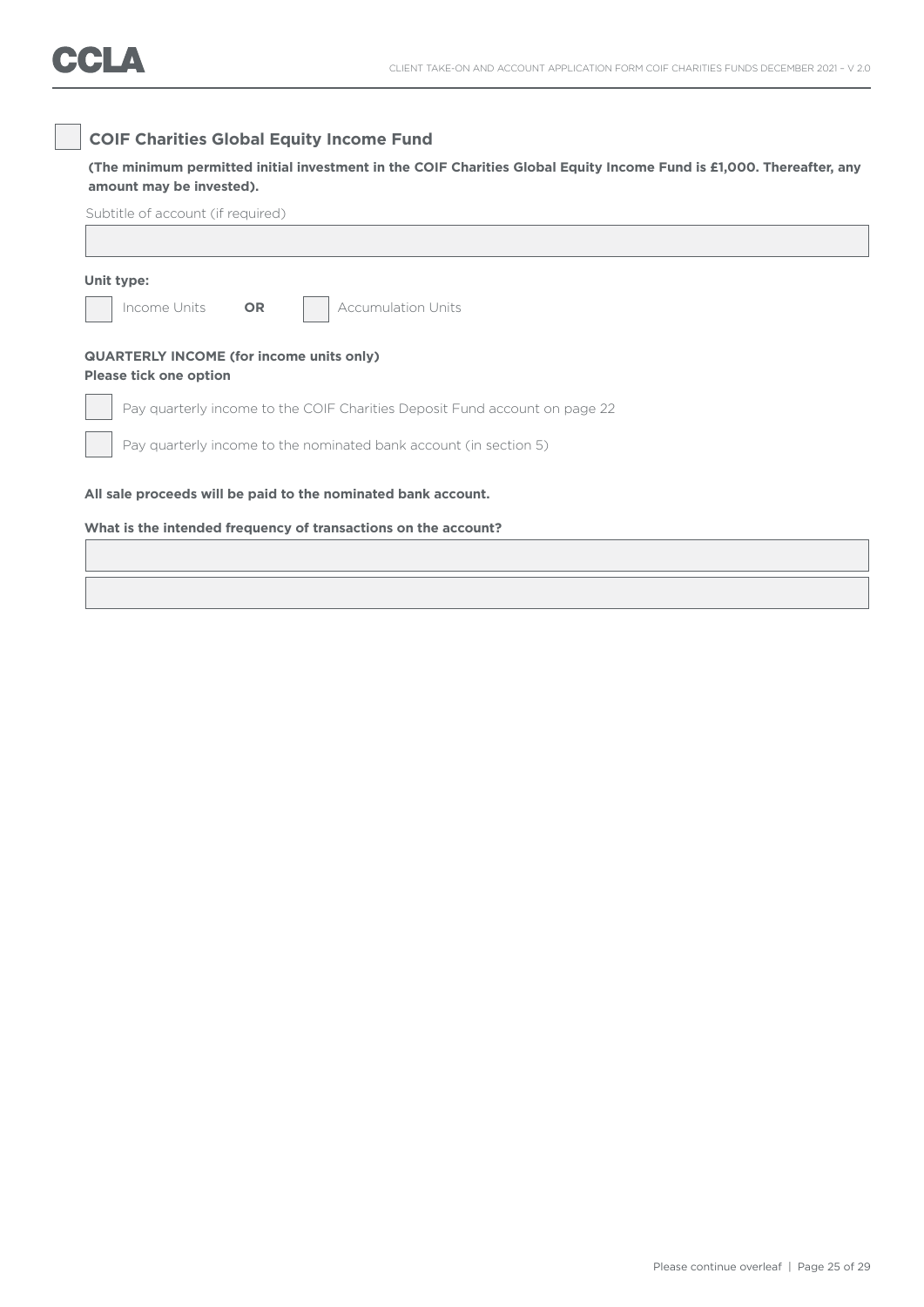### **COIF Charities Global Equity Income Fund**

**(The minimum permitted initial investment in the COIF Charities Global Equity Income Fund is £1,000. Thereafter, any amount may be invested).**

| Unit type:                                                                       |           |  |                           |  |  |  |  |  |
|----------------------------------------------------------------------------------|-----------|--|---------------------------|--|--|--|--|--|
| Income Units                                                                     | <b>OR</b> |  | <b>Accumulation Units</b> |  |  |  |  |  |
| <b>QUARTERLY INCOME (for income units only)</b><br><b>Please tick one option</b> |           |  |                           |  |  |  |  |  |
| Pay quarterly income to the COIF Charities Deposit Fund account on page 22       |           |  |                           |  |  |  |  |  |
| Pay quarterly income to the nominated bank account (in section 5)                |           |  |                           |  |  |  |  |  |
| All sale proceeds will be paid to the nominated bank account.                    |           |  |                           |  |  |  |  |  |
| What is the intended frequency of transactions on the account?                   |           |  |                           |  |  |  |  |  |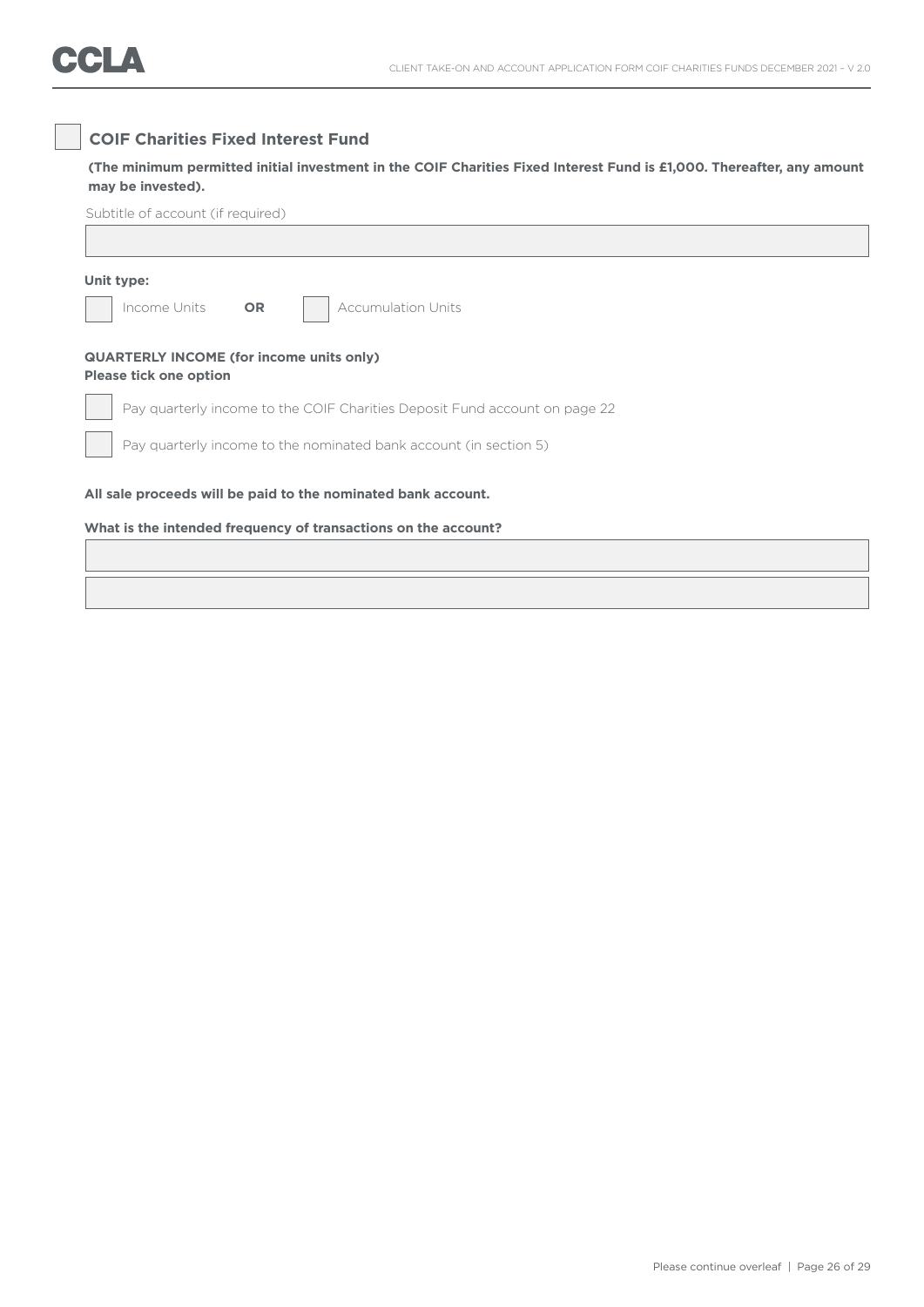### **COIF Charities Fixed Interest Fund**

**(The minimum permitted initial investment in the COIF Charities Fixed Interest Fund is £1,000. Thereafter, any amount may be invested).**

| Unit type:                                                                       |           |                                                                            |  |  |
|----------------------------------------------------------------------------------|-----------|----------------------------------------------------------------------------|--|--|
| Income Units                                                                     | <b>OR</b> | <b>Accumulation Units</b>                                                  |  |  |
| <b>QUARTERLY INCOME (for income units only)</b><br><b>Please tick one option</b> |           |                                                                            |  |  |
|                                                                                  |           | Pay quarterly income to the COIF Charities Deposit Fund account on page 22 |  |  |
|                                                                                  |           | Pay quarterly income to the nominated bank account (in section 5)          |  |  |
|                                                                                  |           | All sale proceeds will be paid to the nominated bank account.              |  |  |
|                                                                                  |           | What is the intended frequency of transactions on the account?             |  |  |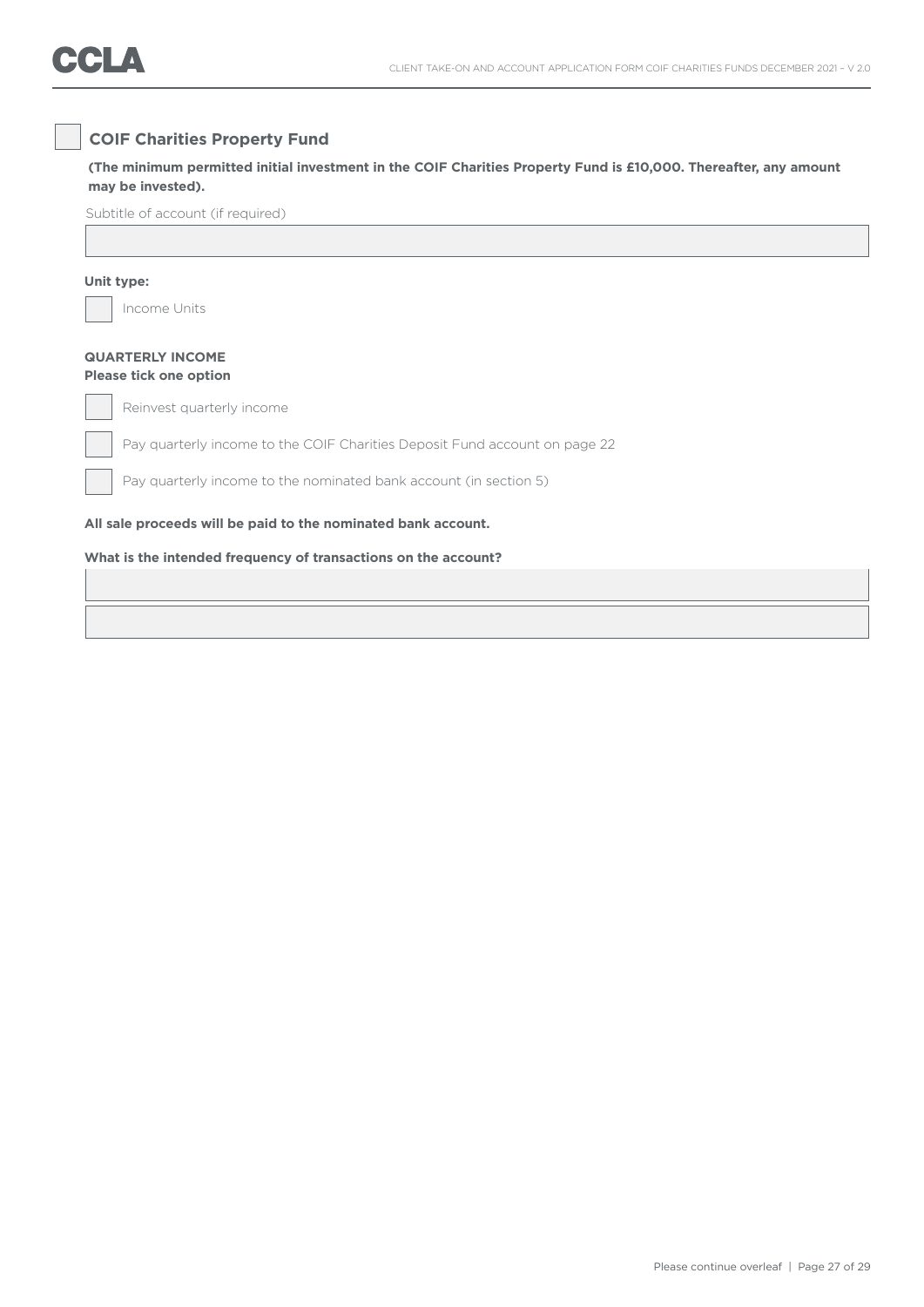### **COIF Charities Property Fund**

**(The minimum permitted initial investment in the COIF Charities Property Fund is £10,000. Thereafter, any amount may be invested).**

Subtitle of account (if required)

#### **Unit type:**

Income Units

#### **QUARTERLY INCOME Please tick one option**

Reinvest quarterly income

Pay quarterly income to the COIF Charities Deposit Fund account on page 22

Pay quarterly income to the nominated bank account (in section 5)

**All sale proceeds will be paid to the nominated bank account.** 

#### **What is the intended frequency of transactions on the account?**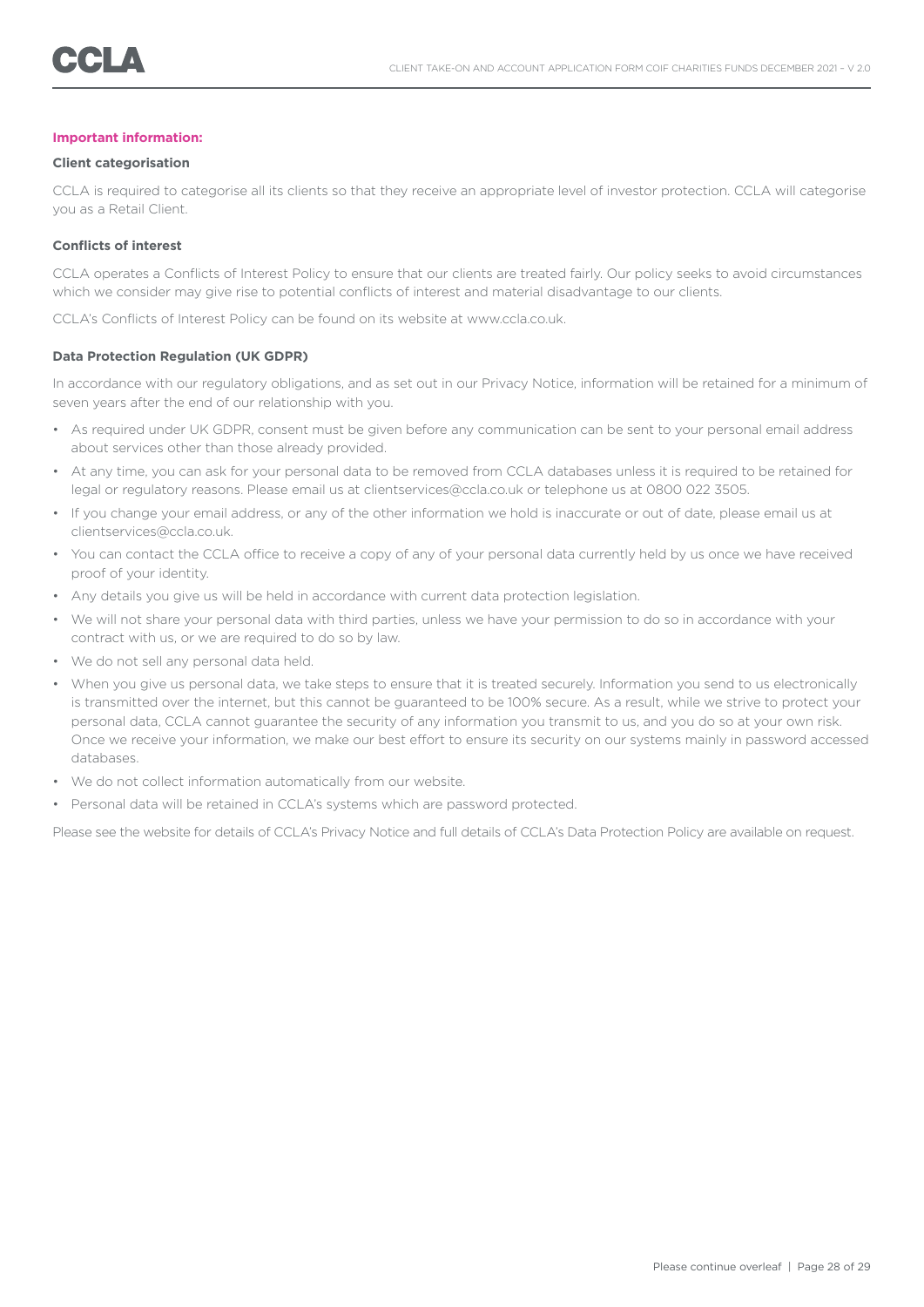#### **Important information:**

#### **Client categorisation**

CCLA is required to categorise all its clients so that they receive an appropriate level of investor protection. CCLA will categorise you as a Retail Client.

#### **Conflicts of interest**

CCLA operates a Conflicts of Interest Policy to ensure that our clients are treated fairly. Our policy seeks to avoid circumstances which we consider may give rise to potential conflicts of interest and material disadvantage to our clients.

CCLA's Conflicts of Interest Policy can be found on its website at www.ccla.co.uk.

#### **Data Protection Regulation (UK GDPR)**

In accordance with our regulatory obligations, and as set out in our Privacy Notice, information will be retained for a minimum of seven years after the end of our relationship with you.

- As required under UK GDPR, consent must be given before any communication can be sent to your personal email address about services other than those already provided.
- At any time, you can ask for your personal data to be removed from CCLA databases unless it is required to be retained for legal or regulatory reasons. Please email us at clientservices@ccla.co.uk or telephone us at 0800 022 3505.
- If you change your email address, or any of the other information we hold is inaccurate or out of date, please email us at clientservices@ccla.co.uk.
- You can contact the CCLA office to receive a copy of any of your personal data currently held by us once we have received proof of your identity.
- Any details you give us will be held in accordance with current data protection legislation.
- We will not share your personal data with third parties, unless we have your permission to do so in accordance with your contract with us, or we are required to do so by law.
- We do not sell any personal data held.
- When you give us personal data, we take steps to ensure that it is treated securely. Information you send to us electronically is transmitted over the internet, but this cannot be guaranteed to be 100% secure. As a result, while we strive to protect your personal data, CCLA cannot guarantee the security of any information you transmit to us, and you do so at your own risk. Once we receive your information, we make our best effort to ensure its security on our systems mainly in password accessed databases.
- We do not collect information automatically from our website.
- Personal data will be retained in CCLA's systems which are password protected.

Please see the website for details of CCLA's Privacy Notice and full details of CCLA's Data Protection Policy are available on request.